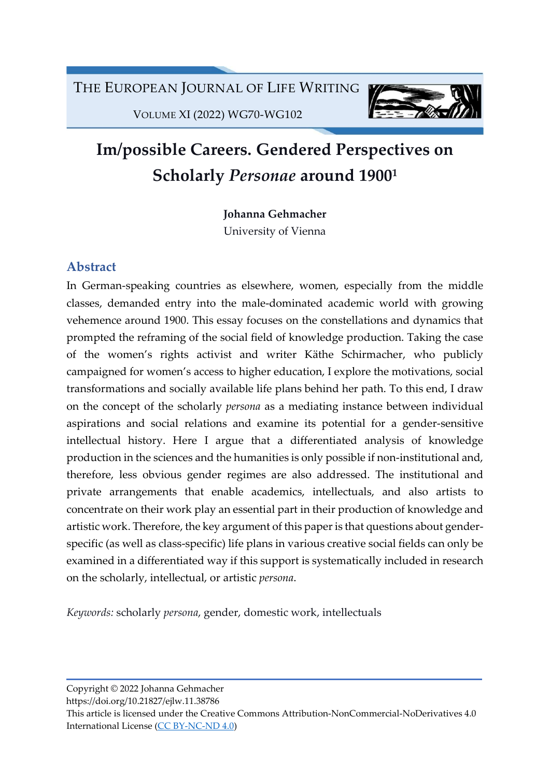

VOLUME XI (2022) WG70-WG102

# Im/possible Careers. Gendered Perspectives on Scholarly Personae around 1900<sup>1</sup>

Johanna Gehmacher

University of Vienna

# Abstract

In German-speaking countries as elsewhere, women, especially from the middle classes, demanded entry into the male-dominated academic world with growing vehemence around 1900. This essay focuses on the constellations and dynamics that prompted the reframing of the social field of knowledge production. Taking the case of the women's rights activist and writer Käthe Schirmacher, who publicly campaigned for women's access to higher education, I explore the motivations, social transformations and socially available life plans behind her path. To this end, I draw on the concept of the scholarly persona as a mediating instance between individual aspirations and social relations and examine its potential for a gender-sensitive intellectual history. Here I argue that a differentiated analysis of knowledge production in the sciences and the humanities is only possible if non-institutional and, therefore, less obvious gender regimes are also addressed. The institutional and private arrangements that enable academics, intellectuals, and also artists to concentrate on their work play an essential part in their production of knowledge and artistic work. Therefore, the key argument of this paper is that questions about genderspecific (as well as class-specific) life plans in various creative social fields can only be examined in a differentiated way if this support is systematically included in research on the scholarly, intellectual, or artistic persona.

Keywords: scholarly persona, gender, domestic work, intellectuals

Copyright © 2022 Johanna Gehmacher

https://doi.org/10.21827/ejlw.11.38786

This article is licensed under the Creative Commons Attribution-NonCommercial-NoDerivatives 4.0 International License (CC BY-NC-ND 4.0)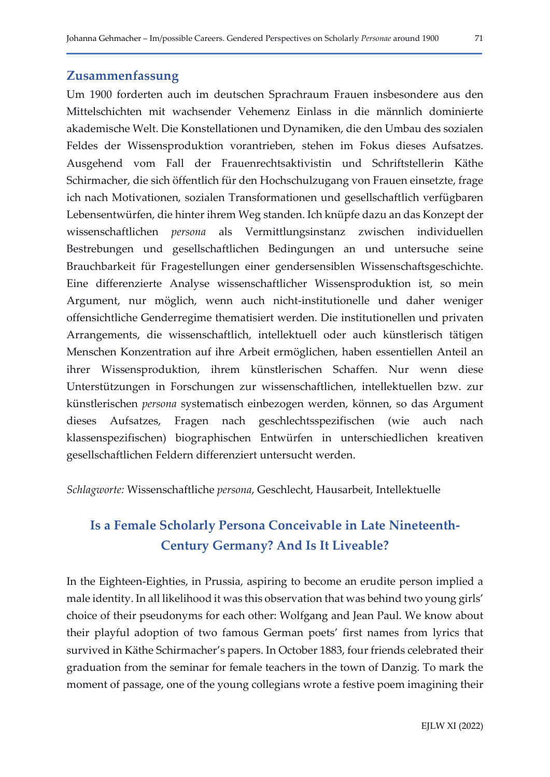#### Zusammenfassung

Um 1900 forderten auch im deutschen Sprachraum Frauen insbesondere aus den Mittelschichten mit wachsender Vehemenz Einlass in die männlich dominierte akademische Welt. Die Konstellationen und Dynamiken, die den Umbau des sozialen Feldes der Wissensproduktion vorantrieben, stehen im Fokus dieses Aufsatzes. Ausgehend vom Fall der Frauenrechtsaktivistin und Schriftstellerin Käthe Schirmacher, die sich öffentlich für den Hochschulzugang von Frauen einsetzte, frage ich nach Motivationen, sozialen Transformationen und gesellschaftlich verfügbaren Lebensentwürfen, die hinter ihrem Weg standen. Ich knüpfe dazu an das Konzept der wissenschaftlichen persona als Vermittlungsinstanz zwischen individuellen Bestrebungen und gesellschaftlichen Bedingungen an und untersuche seine Brauchbarkeit für Fragestellungen einer gendersensiblen Wissenschaftsgeschichte. Eine differenzierte Analyse wissenschaftlicher Wissensproduktion ist, so mein Argument, nur möglich, wenn auch nicht-institutionelle und daher weniger offensichtliche Genderregime thematisiert werden. Die institutionellen und privaten Arrangements, die wissenschaftlich, intellektuell oder auch künstlerisch tätigen Menschen Konzentration auf ihre Arbeit ermöglichen, haben essentiellen Anteil an ihrer Wissensproduktion, ihrem künstlerischen Schaffen. Nur wenn diese Unterstützungen in Forschungen zur wissenschaftlichen, intellektuellen bzw. zur künstlerischen persona systematisch einbezogen werden, können, so das Argument dieses Aufsatzes, Fragen nach geschlechtsspezifischen (wie auch nach klassenspezifischen) biographischen Entwürfen in unterschiedlichen kreativen gesellschaftlichen Feldern differenziert untersucht werden.

Schlagworte: Wissenschaftliche persona, Geschlecht, Hausarbeit, Intellektuelle

# Is a Female Scholarly Persona Conceivable in Late Nineteenth-Century Germany? And Is It Liveable?

In the Eighteen-Eighties, in Prussia, aspiring to become an erudite person implied a male identity. In all likelihood it was this observation that was behind two young girls' choice of their pseudonyms for each other: Wolfgang and Jean Paul. We know about their playful adoption of two famous German poets' first names from lyrics that survived in Käthe Schirmacher's papers. In October 1883, four friends celebrated their graduation from the seminar for female teachers in the town of Danzig. To mark the moment of passage, one of the young collegians wrote a festive poem imagining their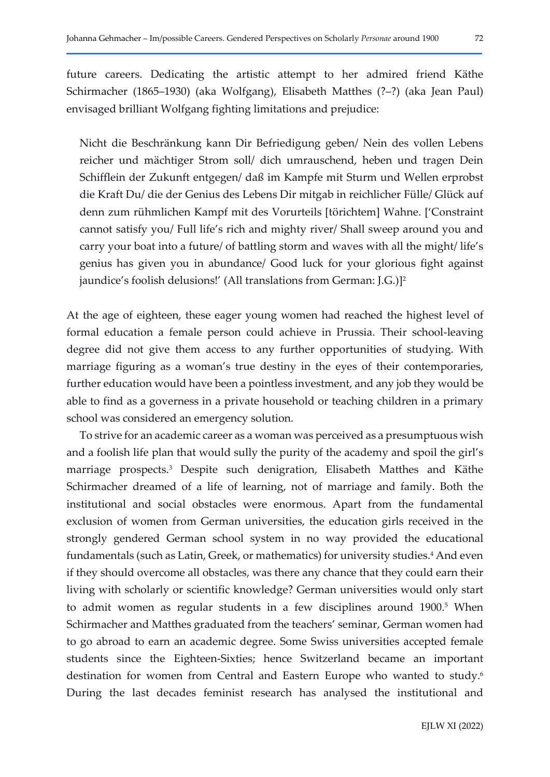future careers. Dedicating the artistic attempt to her admired friend Käthe Schirmacher (1865–1930) (aka Wolfgang), Elisabeth Matthes (?–?) (aka Jean Paul) envisaged brilliant Wolfgang fighting limitations and prejudice:

Nicht die Beschränkung kann Dir Befriedigung geben/ Nein des vollen Lebens reicher und mächtiger Strom soll/ dich umrauschend, heben und tragen Dein Schifflein der Zukunft entgegen/ daß im Kampfe mit Sturm und Wellen erprobst die Kraft Du/ die der Genius des Lebens Dir mitgab in reichlicher Fülle/ Glück auf denn zum rühmlichen Kampf mit des Vorurteils [törichtem] Wahne. ['Constraint cannot satisfy you/ Full life's rich and mighty river/ Shall sweep around you and carry your boat into a future/ of battling storm and waves with all the might/ life's genius has given you in abundance/ Good luck for your glorious fight against jaundice's foolish delusions!' (All translations from German: J.G.)]<sup>2</sup>

At the age of eighteen, these eager young women had reached the highest level of formal education a female person could achieve in Prussia. Their school-leaving degree did not give them access to any further opportunities of studying. With marriage figuring as a woman's true destiny in the eyes of their contemporaries, further education would have been a pointless investment, and any job they would be able to find as a governess in a private household or teaching children in a primary school was considered an emergency solution.

To strive for an academic career as a woman was perceived as a presumptuous wish and a foolish life plan that would sully the purity of the academy and spoil the girl's marriage prospects.<sup>3</sup> Despite such denigration, Elisabeth Matthes and Käthe Schirmacher dreamed of a life of learning, not of marriage and family. Both the institutional and social obstacles were enormous. Apart from the fundamental exclusion of women from German universities, the education girls received in the strongly gendered German school system in no way provided the educational fundamentals (such as Latin, Greek, or mathematics) for university studies.<sup>4</sup> And even if they should overcome all obstacles, was there any chance that they could earn their living with scholarly or scientific knowledge? German universities would only start to admit women as regular students in a few disciplines around 1900.<sup>5</sup> When Schirmacher and Matthes graduated from the teachers' seminar, German women had to go abroad to earn an academic degree. Some Swiss universities accepted female students since the Eighteen-Sixties; hence Switzerland became an important destination for women from Central and Eastern Europe who wanted to study.<sup>6</sup> During the last decades feminist research has analysed the institutional and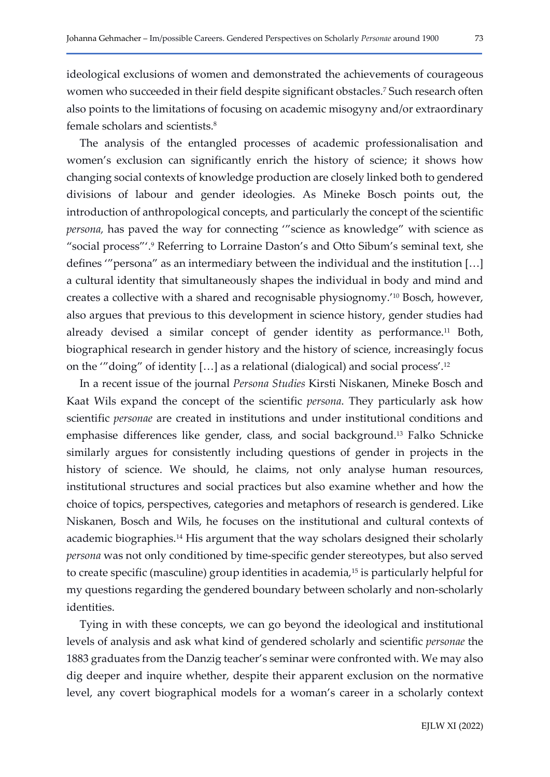ideological exclusions of women and demonstrated the achievements of courageous women who succeeded in their field despite significant obstacles.<sup>7</sup> Such research often also points to the limitations of focusing on academic misogyny and/or extraordinary female scholars and scientists.<sup>8</sup>

The analysis of the entangled processes of academic professionalisation and women's exclusion can significantly enrich the history of science; it shows how changing social contexts of knowledge production are closely linked both to gendered divisions of labour and gender ideologies. As Mineke Bosch points out, the introduction of anthropological concepts, and particularly the concept of the scientific persona, has paved the way for connecting '"science as knowledge" with science as "social process"'.<sup>9</sup> Referring to Lorraine Daston's and Otto Sibum's seminal text, she defines '"persona" as an intermediary between the individual and the institution […] a cultural identity that simultaneously shapes the individual in body and mind and creates a collective with a shared and recognisable physiognomy.'10 Bosch, however, also argues that previous to this development in science history, gender studies had already devised a similar concept of gender identity as performance.11 Both, biographical research in gender history and the history of science, increasingly focus on the '"doing" of identity […] as a relational (dialogical) and social process'.<sup>12</sup>

In a recent issue of the journal Persona Studies Kirsti Niskanen, Mineke Bosch and Kaat Wils expand the concept of the scientific persona. They particularly ask how scientific personae are created in institutions and under institutional conditions and emphasise differences like gender, class, and social background.13 Falko Schnicke similarly argues for consistently including questions of gender in projects in the history of science. We should, he claims, not only analyse human resources, institutional structures and social practices but also examine whether and how the choice of topics, perspectives, categories and metaphors of research is gendered. Like Niskanen, Bosch and Wils, he focuses on the institutional and cultural contexts of academic biographies.<sup>14</sup> His argument that the way scholars designed their scholarly persona was not only conditioned by time-specific gender stereotypes, but also served to create specific (masculine) group identities in academia,<sup>15</sup> is particularly helpful for my questions regarding the gendered boundary between scholarly and non-scholarly identities.

Tying in with these concepts, we can go beyond the ideological and institutional levels of analysis and ask what kind of gendered scholarly and scientific personae the 1883 graduates from the Danzig teacher's seminar were confronted with. We may also dig deeper and inquire whether, despite their apparent exclusion on the normative level, any covert biographical models for a woman's career in a scholarly context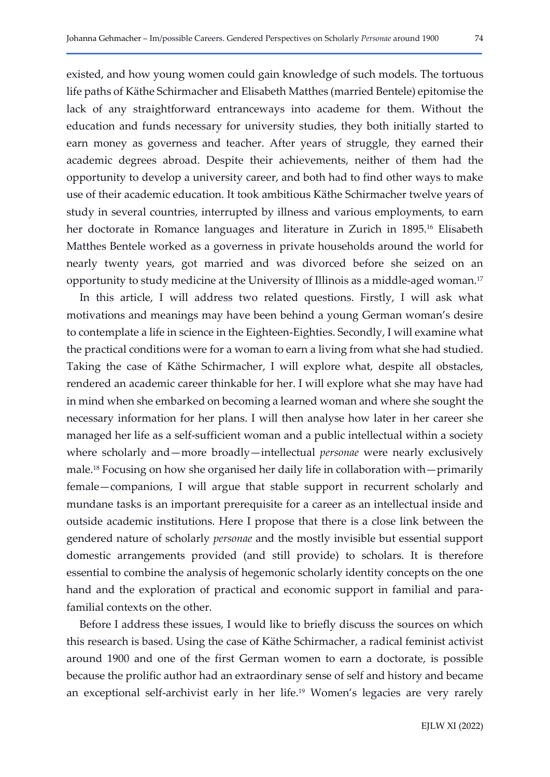existed, and how young women could gain knowledge of such models. The tortuous life paths of Käthe Schirmacher and Elisabeth Matthes (married Bentele) epitomise the lack of any straightforward entranceways into academe for them. Without the education and funds necessary for university studies, they both initially started to earn money as governess and teacher. After years of struggle, they earned their academic degrees abroad. Despite their achievements, neither of them had the opportunity to develop a university career, and both had to find other ways to make use of their academic education. It took ambitious Käthe Schirmacher twelve years of study in several countries, interrupted by illness and various employments, to earn her doctorate in Romance languages and literature in Zurich in 1895.<sup>16</sup> Elisabeth Matthes Bentele worked as a governess in private households around the world for nearly twenty years, got married and was divorced before she seized on an opportunity to study medicine at the University of Illinois as a middle-aged woman.<sup>17</sup>

In this article, I will address two related questions. Firstly, I will ask what motivations and meanings may have been behind a young German woman's desire to contemplate a life in science in the Eighteen-Eighties. Secondly, I will examine what the practical conditions were for a woman to earn a living from what she had studied. Taking the case of Käthe Schirmacher, I will explore what, despite all obstacles, rendered an academic career thinkable for her. I will explore what she may have had in mind when she embarked on becoming a learned woman and where she sought the necessary information for her plans. I will then analyse how later in her career she managed her life as a self-sufficient woman and a public intellectual within a society where scholarly and—more broadly—intellectual *personae* were nearly exclusively male.18 Focusing on how she organised her daily life in collaboration with—primarily female—companions, I will argue that stable support in recurrent scholarly and mundane tasks is an important prerequisite for a career as an intellectual inside and outside academic institutions. Here I propose that there is a close link between the gendered nature of scholarly personae and the mostly invisible but essential support domestic arrangements provided (and still provide) to scholars. It is therefore essential to combine the analysis of hegemonic scholarly identity concepts on the one hand and the exploration of practical and economic support in familial and parafamilial contexts on the other.

Before I address these issues, I would like to briefly discuss the sources on which this research is based. Using the case of Käthe Schirmacher, a radical feminist activist around 1900 and one of the first German women to earn a doctorate, is possible because the prolific author had an extraordinary sense of self and history and became an exceptional self-archivist early in her life.19 Women's legacies are very rarely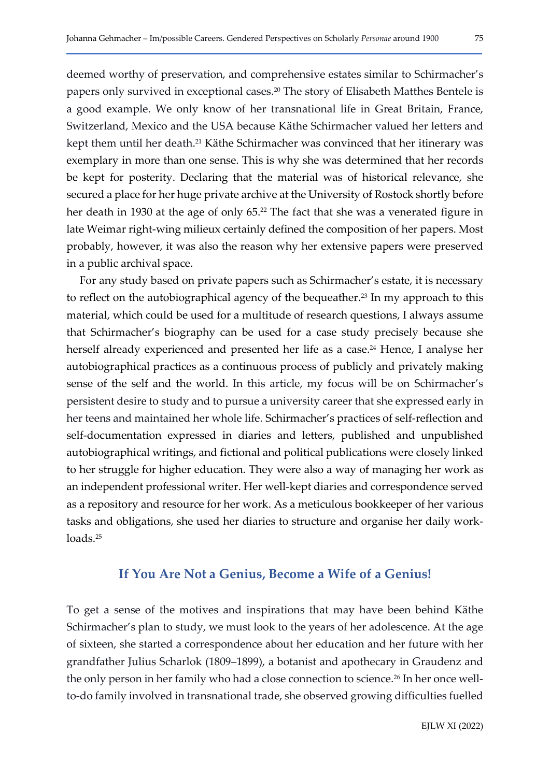deemed worthy of preservation, and comprehensive estates similar to Schirmacher's papers only survived in exceptional cases.20 The story of Elisabeth Matthes Bentele is a good example. We only know of her transnational life in Great Britain, France, Switzerland, Mexico and the USA because Käthe Schirmacher valued her letters and kept them until her death.<sup>21</sup> Käthe Schirmacher was convinced that her itinerary was exemplary in more than one sense. This is why she was determined that her records be kept for posterity. Declaring that the material was of historical relevance, she secured a place for her huge private archive at the University of Rostock shortly before her death in 1930 at the age of only 65.<sup>22</sup> The fact that she was a venerated figure in late Weimar right-wing milieux certainly defined the composition of her papers. Most probably, however, it was also the reason why her extensive papers were preserved in a public archival space.

For any study based on private papers such as Schirmacher's estate, it is necessary to reflect on the autobiographical agency of the bequeather.<sup>23</sup> In my approach to this material, which could be used for a multitude of research questions, I always assume that Schirmacher's biography can be used for a case study precisely because she herself already experienced and presented her life as a case.<sup>24</sup> Hence, I analyse her autobiographical practices as a continuous process of publicly and privately making sense of the self and the world. In this article, my focus will be on Schirmacher's persistent desire to study and to pursue a university career that she expressed early in her teens and maintained her whole life. Schirmacher's practices of self-reflection and self-documentation expressed in diaries and letters, published and unpublished autobiographical writings, and fictional and political publications were closely linked to her struggle for higher education. They were also a way of managing her work as an independent professional writer. Her well-kept diaries and correspondence served as a repository and resource for her work. As a meticulous bookkeeper of her various tasks and obligations, she used her diaries to structure and organise her daily workloads.<sup>25</sup>

### If You Are Not a Genius, Become a Wife of a Genius!

To get a sense of the motives and inspirations that may have been behind Käthe Schirmacher's plan to study, we must look to the years of her adolescence. At the age of sixteen, she started a correspondence about her education and her future with her grandfather Julius Scharlok (1809–1899), a botanist and apothecary in Graudenz and the only person in her family who had a close connection to science.<sup>26</sup> In her once wellto-do family involved in transnational trade, she observed growing difficulties fuelled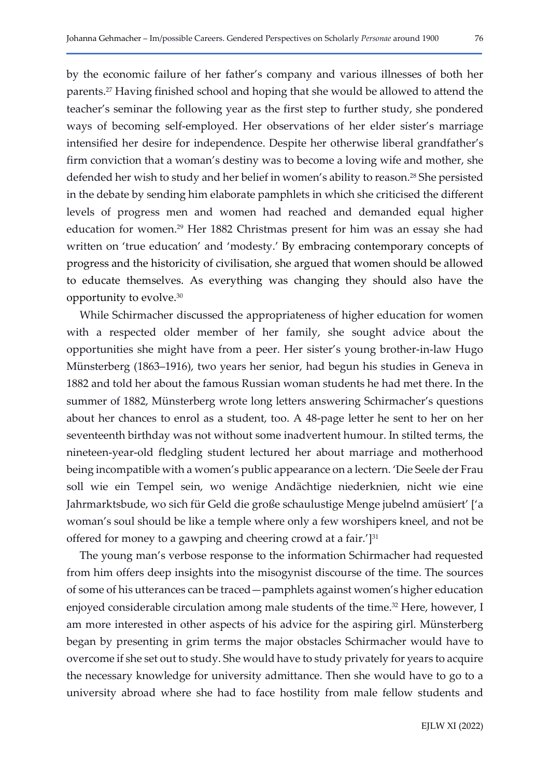by the economic failure of her father's company and various illnesses of both her parents.27 Having finished school and hoping that she would be allowed to attend the teacher's seminar the following year as the first step to further study, she pondered ways of becoming self-employed. Her observations of her elder sister's marriage intensified her desire for independence. Despite her otherwise liberal grandfather's firm conviction that a woman's destiny was to become a loving wife and mother, she defended her wish to study and her belief in women's ability to reason.<sup>28</sup> She persisted in the debate by sending him elaborate pamphlets in which she criticised the different levels of progress men and women had reached and demanded equal higher education for women.29 Her 1882 Christmas present for him was an essay she had written on 'true education' and 'modesty.' By embracing contemporary concepts of progress and the historicity of civilisation, she argued that women should be allowed to educate themselves. As everything was changing they should also have the opportunity to evolve.<sup>30</sup>

While Schirmacher discussed the appropriateness of higher education for women with a respected older member of her family, she sought advice about the opportunities she might have from a peer. Her sister's young brother-in-law Hugo Münsterberg (1863–1916), two years her senior, had begun his studies in Geneva in 1882 and told her about the famous Russian woman students he had met there. In the summer of 1882, Münsterberg wrote long letters answering Schirmacher's questions about her chances to enrol as a student, too. A 48-page letter he sent to her on her seventeenth birthday was not without some inadvertent humour. In stilted terms, the nineteen-year-old fledgling student lectured her about marriage and motherhood being incompatible with a women's public appearance on a lectern. 'Die Seele der Frau soll wie ein Tempel sein, wo wenige Andächtige niederknien, nicht wie eine Jahrmarktsbude, wo sich für Geld die große schaulustige Menge jubelnd amüsiert' ['a woman's soul should be like a temple where only a few worshipers kneel, and not be offered for money to a gawping and cheering crowd at a fair.']<sup>31</sup>

The young man's verbose response to the information Schirmacher had requested from him offers deep insights into the misogynist discourse of the time. The sources of some of his utterances can be traced—pamphlets against women's higher education enjoyed considerable circulation among male students of the time.<sup>32</sup> Here, however, I am more interested in other aspects of his advice for the aspiring girl. Münsterberg began by presenting in grim terms the major obstacles Schirmacher would have to overcome if she set out to study. She would have to study privately for years to acquire the necessary knowledge for university admittance. Then she would have to go to a university abroad where she had to face hostility from male fellow students and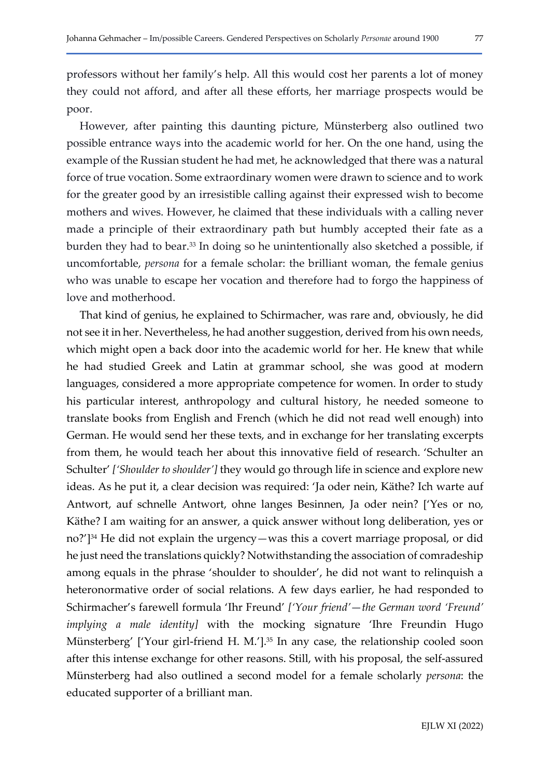professors without her family's help. All this would cost her parents a lot of money they could not afford, and after all these efforts, her marriage prospects would be poor.

However, after painting this daunting picture, Münsterberg also outlined two possible entrance ways into the academic world for her. On the one hand, using the example of the Russian student he had met, he acknowledged that there was a natural force of true vocation. Some extraordinary women were drawn to science and to work for the greater good by an irresistible calling against their expressed wish to become mothers and wives. However, he claimed that these individuals with a calling never made a principle of their extraordinary path but humbly accepted their fate as a burden they had to bear.33 In doing so he unintentionally also sketched a possible, if uncomfortable, persona for a female scholar: the brilliant woman, the female genius who was unable to escape her vocation and therefore had to forgo the happiness of love and motherhood.

That kind of genius, he explained to Schirmacher, was rare and, obviously, he did not see it in her. Nevertheless, he had another suggestion, derived from his own needs, which might open a back door into the academic world for her. He knew that while he had studied Greek and Latin at grammar school, she was good at modern languages, considered a more appropriate competence for women. In order to study his particular interest, anthropology and cultural history, he needed someone to translate books from English and French (which he did not read well enough) into German. He would send her these texts, and in exchange for her translating excerpts from them, he would teach her about this innovative field of research. 'Schulter an Schulter' ['Shoulder to shoulder'] they would go through life in science and explore new ideas. As he put it, a clear decision was required: 'Ja oder nein, Käthe? Ich warte auf Antwort, auf schnelle Antwort, ohne langes Besinnen, Ja oder nein? ['Yes or no, Käthe? I am waiting for an answer, a quick answer without long deliberation, yes or no?']<sup>34</sup> He did not explain the urgency—was this a covert marriage proposal, or did he just need the translations quickly? Notwithstanding the association of comradeship among equals in the phrase 'shoulder to shoulder', he did not want to relinquish a heteronormative order of social relations. A few days earlier, he had responded to Schirmacher's farewell formula 'Ihr Freund' ['Your friend'—the German word 'Freund' implying a male identity] with the mocking signature 'Ihre Freundin Hugo Münsterberg' ['Your girl-friend H. M.'].<sup>35</sup> In any case, the relationship cooled soon after this intense exchange for other reasons. Still, with his proposal, the self-assured Münsterberg had also outlined a second model for a female scholarly persona: the educated supporter of a brilliant man.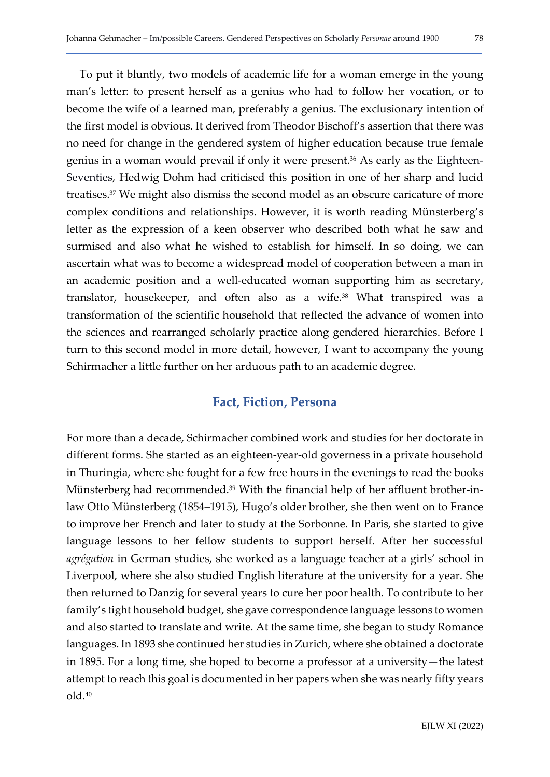To put it bluntly, two models of academic life for a woman emerge in the young man's letter: to present herself as a genius who had to follow her vocation, or to become the wife of a learned man, preferably a genius. The exclusionary intention of the first model is obvious. It derived from Theodor Bischoff's assertion that there was no need for change in the gendered system of higher education because true female genius in a woman would prevail if only it were present.36 As early as the Eighteen-Seventies, Hedwig Dohm had criticised this position in one of her sharp and lucid treatises.37 We might also dismiss the second model as an obscure caricature of more complex conditions and relationships. However, it is worth reading Münsterberg's letter as the expression of a keen observer who described both what he saw and surmised and also what he wished to establish for himself. In so doing, we can ascertain what was to become a widespread model of cooperation between a man in an academic position and a well-educated woman supporting him as secretary, translator, housekeeper, and often also as a wife.38 What transpired was a transformation of the scientific household that reflected the advance of women into the sciences and rearranged scholarly practice along gendered hierarchies. Before I turn to this second model in more detail, however, I want to accompany the young Schirmacher a little further on her arduous path to an academic degree.

#### Fact, Fiction, Persona

For more than a decade, Schirmacher combined work and studies for her doctorate in different forms. She started as an eighteen-year-old governess in a private household in Thuringia, where she fought for a few free hours in the evenings to read the books Münsterberg had recommended.<sup>39</sup> With the financial help of her affluent brother-inlaw Otto Münsterberg (1854–1915), Hugo's older brother, she then went on to France to improve her French and later to study at the Sorbonne. In Paris, she started to give language lessons to her fellow students to support herself. After her successful agrégation in German studies, she worked as a language teacher at a girls' school in Liverpool, where she also studied English literature at the university for a year. She then returned to Danzig for several years to cure her poor health. To contribute to her family's tight household budget, she gave correspondence language lessons to women and also started to translate and write. At the same time, she began to study Romance languages. In 1893 she continued her studies in Zurich, where she obtained a doctorate in 1895. For a long time, she hoped to become a professor at a university—the latest attempt to reach this goal is documented in her papers when she was nearly fifty years old.<sup>40</sup>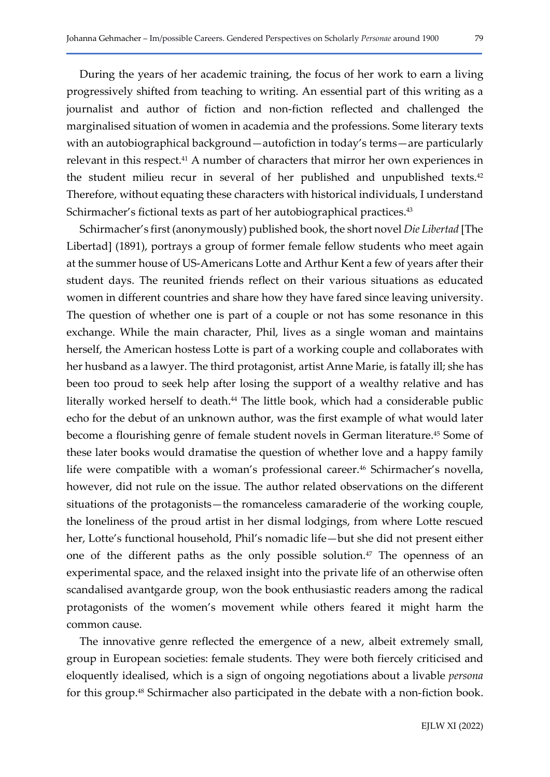During the years of her academic training, the focus of her work to earn a living progressively shifted from teaching to writing. An essential part of this writing as a journalist and author of fiction and non-fiction reflected and challenged the marginalised situation of women in academia and the professions. Some literary texts with an autobiographical background—autofiction in today's terms—are particularly relevant in this respect.<sup>41</sup> A number of characters that mirror her own experiences in the student milieu recur in several of her published and unpublished texts. $42$ Therefore, without equating these characters with historical individuals, I understand Schirmacher's fictional texts as part of her autobiographical practices.<sup>43</sup>

Schirmacher's first (anonymously) published book, the short novel Die Libertad [The Libertad] (1891), portrays a group of former female fellow students who meet again at the summer house of US-Americans Lotte and Arthur Kent a few of years after their student days. The reunited friends reflect on their various situations as educated women in different countries and share how they have fared since leaving university. The question of whether one is part of a couple or not has some resonance in this exchange. While the main character, Phil, lives as a single woman and maintains herself, the American hostess Lotte is part of a working couple and collaborates with her husband as a lawyer. The third protagonist, artist Anne Marie, is fatally ill; she has been too proud to seek help after losing the support of a wealthy relative and has literally worked herself to death.<sup>44</sup> The little book, which had a considerable public echo for the debut of an unknown author, was the first example of what would later become a flourishing genre of female student novels in German literature.45 Some of these later books would dramatise the question of whether love and a happy family life were compatible with a woman's professional career.<sup>46</sup> Schirmacher's novella, however, did not rule on the issue. The author related observations on the different situations of the protagonists—the romanceless camaraderie of the working couple, the loneliness of the proud artist in her dismal lodgings, from where Lotte rescued her, Lotte's functional household, Phil's nomadic life—but she did not present either one of the different paths as the only possible solution.<sup> $47$ </sup> The openness of an experimental space, and the relaxed insight into the private life of an otherwise often scandalised avantgarde group, won the book enthusiastic readers among the radical protagonists of the women's movement while others feared it might harm the common cause.

The innovative genre reflected the emergence of a new, albeit extremely small, group in European societies: female students. They were both fiercely criticised and eloquently idealised, which is a sign of ongoing negotiations about a livable persona for this group.48 Schirmacher also participated in the debate with a non-fiction book.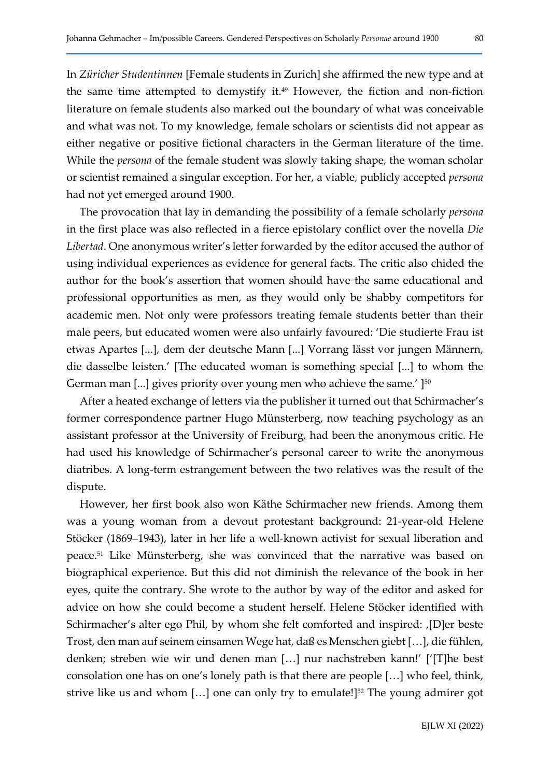In Züricher Studentinnen [Female students in Zurich] she affirmed the new type and at the same time attempted to demystify it. $49$  However, the fiction and non-fiction literature on female students also marked out the boundary of what was conceivable and what was not. To my knowledge, female scholars or scientists did not appear as either negative or positive fictional characters in the German literature of the time. While the *persona* of the female student was slowly taking shape, the woman scholar or scientist remained a singular exception. For her, a viable, publicly accepted persona had not yet emerged around 1900.

The provocation that lay in demanding the possibility of a female scholarly *persona* in the first place was also reflected in a fierce epistolary conflict over the novella Die Libertad. One anonymous writer's letter forwarded by the editor accused the author of using individual experiences as evidence for general facts. The critic also chided the author for the book's assertion that women should have the same educational and professional opportunities as men, as they would only be shabby competitors for academic men. Not only were professors treating female students better than their male peers, but educated women were also unfairly favoured: 'Die studierte Frau ist etwas Apartes [...], dem der deutsche Mann [...] Vorrang lässt vor jungen Männern, die dasselbe leisten.' [The educated woman is something special [...] to whom the German man [...] gives priority over young men who achieve the same.'  $]^{50}$ 

After a heated exchange of letters via the publisher it turned out that Schirmacher's former correspondence partner Hugo Münsterberg, now teaching psychology as an assistant professor at the University of Freiburg, had been the anonymous critic. He had used his knowledge of Schirmacher's personal career to write the anonymous diatribes. A long-term estrangement between the two relatives was the result of the dispute.

However, her first book also won Käthe Schirmacher new friends. Among them was a young woman from a devout protestant background: 21-year-old Helene Stöcker (1869–1943), later in her life a well-known activist for sexual liberation and peace.51 Like Münsterberg, she was convinced that the narrative was based on biographical experience. But this did not diminish the relevance of the book in her eyes, quite the contrary. She wrote to the author by way of the editor and asked for advice on how she could become a student herself. Helene Stöcker identified with Schirmacher's alter ego Phil, by whom she felt comforted and inspired: '[D]er beste Trost, den man auf seinem einsamen Wege hat, daß es Menschen giebt […], die fühlen, denken; streben wie wir und denen man […] nur nachstreben kann!' ['[T]he best consolation one has on one's lonely path is that there are people […] who feel, think, strive like us and whom  $[...]$  one can only try to emulate!<sup>[52]</sup> The young admirer got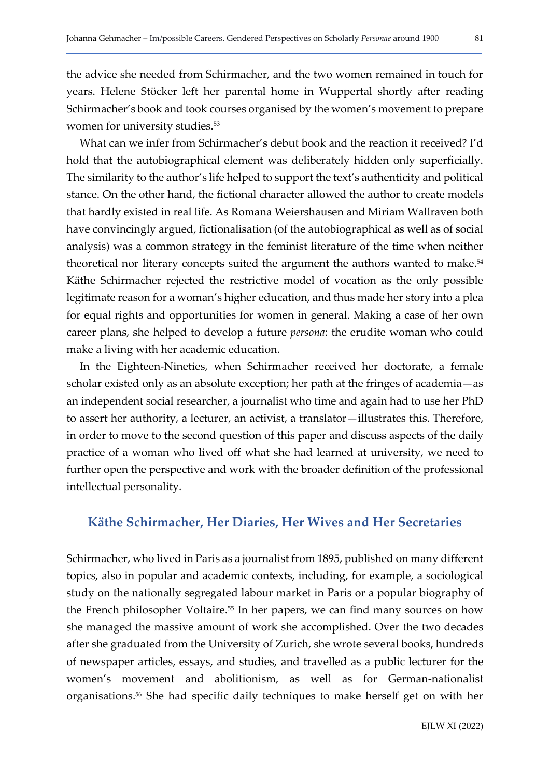the advice she needed from Schirmacher, and the two women remained in touch for years. Helene Stöcker left her parental home in Wuppertal shortly after reading Schirmacher's book and took courses organised by the women's movement to prepare women for university studies.<sup>53</sup>

What can we infer from Schirmacher's debut book and the reaction it received? I'd hold that the autobiographical element was deliberately hidden only superficially. The similarity to the author's life helped to support the text's authenticity and political stance. On the other hand, the fictional character allowed the author to create models that hardly existed in real life. As Romana Weiershausen and Miriam Wallraven both have convincingly argued, fictionalisation (of the autobiographical as well as of social analysis) was a common strategy in the feminist literature of the time when neither theoretical nor literary concepts suited the argument the authors wanted to make.<sup>54</sup> Käthe Schirmacher rejected the restrictive model of vocation as the only possible legitimate reason for a woman's higher education, and thus made her story into a plea for equal rights and opportunities for women in general. Making a case of her own career plans, she helped to develop a future persona: the erudite woman who could make a living with her academic education.

In the Eighteen-Nineties, when Schirmacher received her doctorate, a female scholar existed only as an absolute exception; her path at the fringes of academia—as an independent social researcher, a journalist who time and again had to use her PhD to assert her authority, a lecturer, an activist, a translator—illustrates this. Therefore, in order to move to the second question of this paper and discuss aspects of the daily practice of a woman who lived off what she had learned at university, we need to further open the perspective and work with the broader definition of the professional intellectual personality.

### Käthe Schirmacher, Her Diaries, Her Wives and Her Secretaries

Schirmacher, who lived in Paris as a journalist from 1895, published on many different topics, also in popular and academic contexts, including, for example, a sociological study on the nationally segregated labour market in Paris or a popular biography of the French philosopher Voltaire.<sup>55</sup> In her papers, we can find many sources on how she managed the massive amount of work she accomplished. Over the two decades after she graduated from the University of Zurich, she wrote several books, hundreds of newspaper articles, essays, and studies, and travelled as a public lecturer for the women's movement and abolitionism, as well as for German-nationalist organisations.56 She had specific daily techniques to make herself get on with her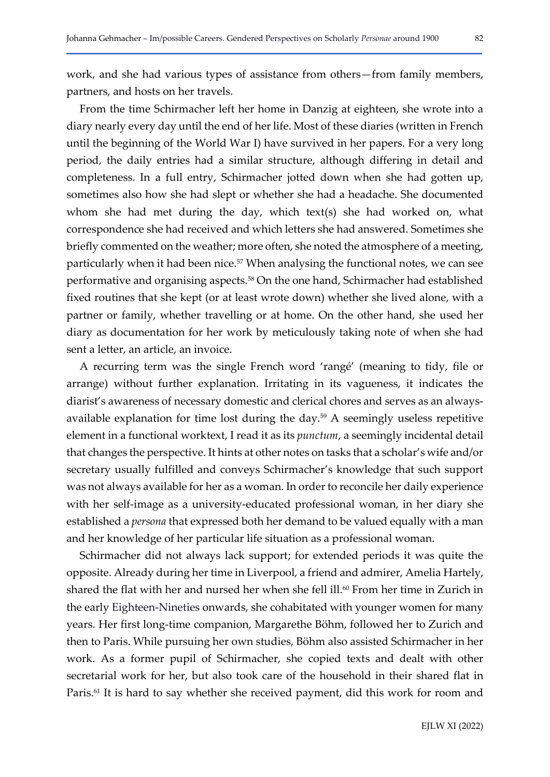work, and she had various types of assistance from others—from family members, partners, and hosts on her travels.

From the time Schirmacher left her home in Danzig at eighteen, she wrote into a diary nearly every day until the end of her life. Most of these diaries (written in French until the beginning of the World War I) have survived in her papers. For a very long period, the daily entries had a similar structure, although differing in detail and completeness. In a full entry, Schirmacher jotted down when she had gotten up, sometimes also how she had slept or whether she had a headache. She documented whom she had met during the day, which text(s) she had worked on, what correspondence she had received and which letters she had answered. Sometimes she briefly commented on the weather; more often, she noted the atmosphere of a meeting, particularly when it had been nice.<sup>57</sup> When analysing the functional notes, we can see performative and organising aspects.<sup>58</sup> On the one hand, Schirmacher had established fixed routines that she kept (or at least wrote down) whether she lived alone, with a partner or family, whether travelling or at home. On the other hand, she used her diary as documentation for her work by meticulously taking note of when she had sent a letter, an article, an invoice.

A recurring term was the single French word 'rangé' (meaning to tidy, file or arrange) without further explanation. Irritating in its vagueness, it indicates the diarist's awareness of necessary domestic and clerical chores and serves as an alwaysavailable explanation for time lost during the day.<sup>59</sup> A seemingly useless repetitive element in a functional worktext, I read it as its punctum, a seemingly incidental detail that changes the perspective. It hints at other notes on tasks that a scholar's wife and/or secretary usually fulfilled and conveys Schirmacher's knowledge that such support was not always available for her as a woman. In order to reconcile her daily experience with her self-image as a university-educated professional woman, in her diary she established a *persona* that expressed both her demand to be valued equally with a man and her knowledge of her particular life situation as a professional woman.

Schirmacher did not always lack support; for extended periods it was quite the opposite. Already during her time in Liverpool, a friend and admirer, Amelia Hartely, shared the flat with her and nursed her when she fell ill.<sup>60</sup> From her time in Zurich in the early Eighteen-Nineties onwards, she cohabitated with younger women for many years. Her first long-time companion, Margarethe Böhm, followed her to Zurich and then to Paris. While pursuing her own studies, Böhm also assisted Schirmacher in her work. As a former pupil of Schirmacher, she copied texts and dealt with other secretarial work for her, but also took care of the household in their shared flat in Paris.<sup>61</sup> It is hard to say whether she received payment, did this work for room and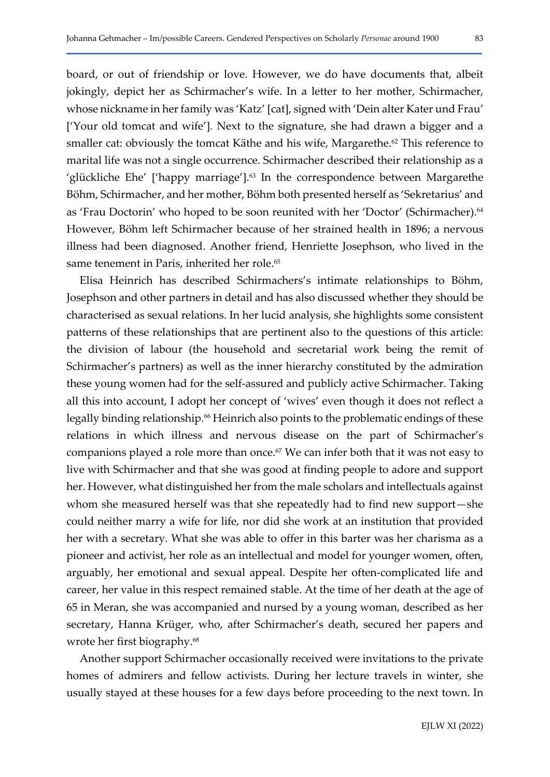board, or out of friendship or love. However, we do have documents that, albeit jokingly, depict her as Schirmacher's wife. In a letter to her mother, Schirmacher, whose nickname in her family was 'Katz' [cat], signed with 'Dein alter Kater und Frau' ['Your old tomcat and wife']. Next to the signature, she had drawn a bigger and a smaller cat: obviously the tomcat Käthe and his wife, Margarethe.<sup>62</sup> This reference to marital life was not a single occurrence. Schirmacher described their relationship as a 'glückliche Ehe' ['happy marriage'].<sup>63</sup> In the correspondence between Margarethe Böhm, Schirmacher, and her mother, Böhm both presented herself as 'Sekretarius' and as 'Frau Doctorin' who hoped to be soon reunited with her 'Doctor' (Schirmacher).<sup>64</sup> However, Böhm left Schirmacher because of her strained health in 1896; a nervous illness had been diagnosed. Another friend, Henriette Josephson, who lived in the same tenement in Paris, inherited her role.<sup>65</sup>

Elisa Heinrich has described Schirmachers's intimate relationships to Böhm, Josephson and other partners in detail and has also discussed whether they should be characterised as sexual relations. In her lucid analysis, she highlights some consistent patterns of these relationships that are pertinent also to the questions of this article: the division of labour (the household and secretarial work being the remit of Schirmacher's partners) as well as the inner hierarchy constituted by the admiration these young women had for the self-assured and publicly active Schirmacher. Taking all this into account, I adopt her concept of 'wives' even though it does not reflect a legally binding relationship.<sup>66</sup> Heinrich also points to the problematic endings of these relations in which illness and nervous disease on the part of Schirmacher's companions played a role more than once.67 We can infer both that it was not easy to live with Schirmacher and that she was good at finding people to adore and support her. However, what distinguished her from the male scholars and intellectuals against whom she measured herself was that she repeatedly had to find new support—she could neither marry a wife for life, nor did she work at an institution that provided her with a secretary. What she was able to offer in this barter was her charisma as a pioneer and activist, her role as an intellectual and model for younger women, often, arguably, her emotional and sexual appeal. Despite her often-complicated life and career, her value in this respect remained stable. At the time of her death at the age of 65 in Meran, she was accompanied and nursed by a young woman, described as her secretary, Hanna Krüger, who, after Schirmacher's death, secured her papers and wrote her first biography.<sup>68</sup>

Another support Schirmacher occasionally received were invitations to the private homes of admirers and fellow activists. During her lecture travels in winter, she usually stayed at these houses for a few days before proceeding to the next town. In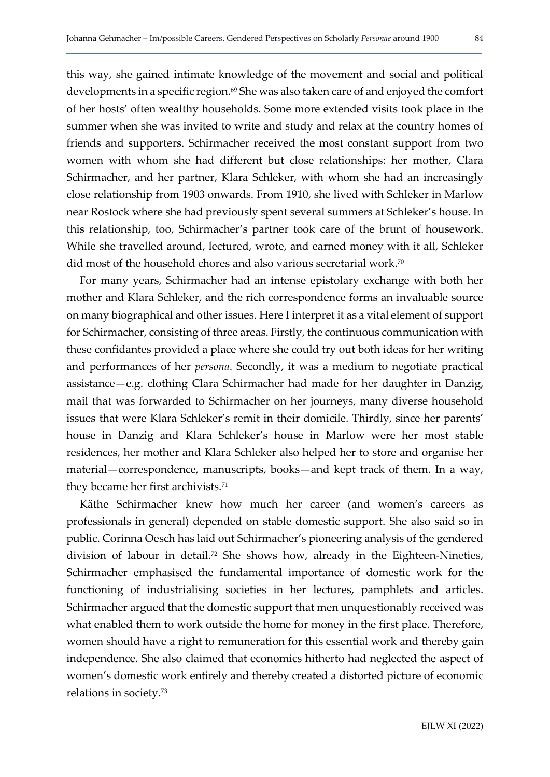this way, she gained intimate knowledge of the movement and social and political developments in a specific region.<sup>69</sup> She was also taken care of and enjoyed the comfort of her hosts' often wealthy households. Some more extended visits took place in the summer when she was invited to write and study and relax at the country homes of friends and supporters. Schirmacher received the most constant support from two women with whom she had different but close relationships: her mother, Clara Schirmacher, and her partner, Klara Schleker, with whom she had an increasingly close relationship from 1903 onwards. From 1910, she lived with Schleker in Marlow near Rostock where she had previously spent several summers at Schleker's house. In this relationship, too, Schirmacher's partner took care of the brunt of housework. While she travelled around, lectured, wrote, and earned money with it all, Schleker did most of the household chores and also various secretarial work.<sup>70</sup>

For many years, Schirmacher had an intense epistolary exchange with both her mother and Klara Schleker, and the rich correspondence forms an invaluable source on many biographical and other issues. Here I interpret it as a vital element of support for Schirmacher, consisting of three areas. Firstly, the continuous communication with these confidantes provided a place where she could try out both ideas for her writing and performances of her *persona*. Secondly, it was a medium to negotiate practical assistance—e.g. clothing Clara Schirmacher had made for her daughter in Danzig, mail that was forwarded to Schirmacher on her journeys, many diverse household issues that were Klara Schleker's remit in their domicile. Thirdly, since her parents' house in Danzig and Klara Schleker's house in Marlow were her most stable residences, her mother and Klara Schleker also helped her to store and organise her material—correspondence, manuscripts, books—and kept track of them. In a way, they became her first archivists.<sup>71</sup>

Käthe Schirmacher knew how much her career (and women's careers as professionals in general) depended on stable domestic support. She also said so in public. Corinna Oesch has laid out Schirmacher's pioneering analysis of the gendered division of labour in detail.72 She shows how, already in the Eighteen-Nineties, Schirmacher emphasised the fundamental importance of domestic work for the functioning of industrialising societies in her lectures, pamphlets and articles. Schirmacher argued that the domestic support that men unquestionably received was what enabled them to work outside the home for money in the first place. Therefore, women should have a right to remuneration for this essential work and thereby gain independence. She also claimed that economics hitherto had neglected the aspect of women's domestic work entirely and thereby created a distorted picture of economic relations in society.73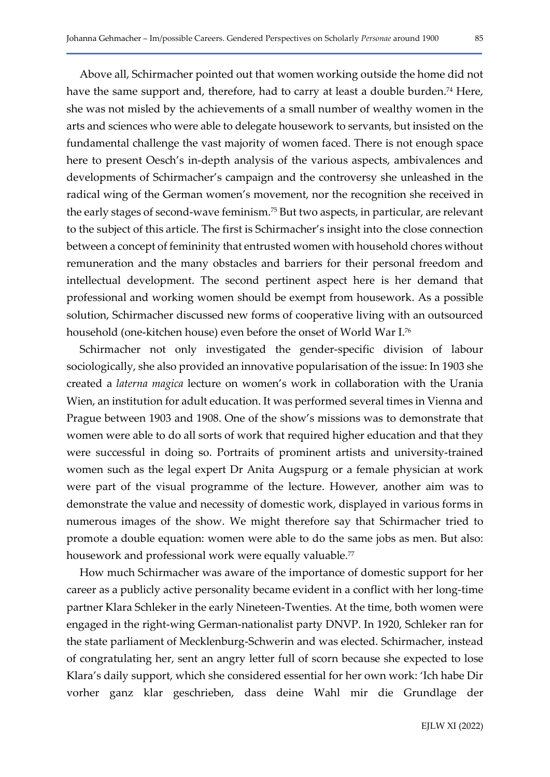Above all, Schirmacher pointed out that women working outside the home did not have the same support and, therefore, had to carry at least a double burden.<sup>74</sup> Here, she was not misled by the achievements of a small number of wealthy women in the arts and sciences who were able to delegate housework to servants, but insisted on the fundamental challenge the vast majority of women faced. There is not enough space here to present Oesch's in-depth analysis of the various aspects, ambivalences and developments of Schirmacher's campaign and the controversy she unleashed in the radical wing of the German women's movement, nor the recognition she received in the early stages of second-wave feminism.75 But two aspects, in particular, are relevant to the subject of this article. The first is Schirmacher's insight into the close connection between a concept of femininity that entrusted women with household chores without remuneration and the many obstacles and barriers for their personal freedom and intellectual development. The second pertinent aspect here is her demand that professional and working women should be exempt from housework. As a possible solution, Schirmacher discussed new forms of cooperative living with an outsourced household (one-kitchen house) even before the onset of World War I.<sup>76</sup>

Schirmacher not only investigated the gender-specific division of labour sociologically, she also provided an innovative popularisation of the issue: In 1903 she created a laterna magica lecture on women's work in collaboration with the Urania Wien, an institution for adult education. It was performed several times in Vienna and Prague between 1903 and 1908. One of the show's missions was to demonstrate that women were able to do all sorts of work that required higher education and that they were successful in doing so. Portraits of prominent artists and university-trained women such as the legal expert Dr Anita Augspurg or a female physician at work were part of the visual programme of the lecture. However, another aim was to demonstrate the value and necessity of domestic work, displayed in various forms in numerous images of the show. We might therefore say that Schirmacher tried to promote a double equation: women were able to do the same jobs as men. But also: housework and professional work were equally valuable.<sup>77</sup>

How much Schirmacher was aware of the importance of domestic support for her career as a publicly active personality became evident in a conflict with her long-time partner Klara Schleker in the early Nineteen-Twenties. At the time, both women were engaged in the right-wing German-nationalist party DNVP. In 1920, Schleker ran for the state parliament of Mecklenburg-Schwerin and was elected. Schirmacher, instead of congratulating her, sent an angry letter full of scorn because she expected to lose Klara's daily support, which she considered essential for her own work: 'Ich habe Dir vorher ganz klar geschrieben, dass deine Wahl mir die Grundlage der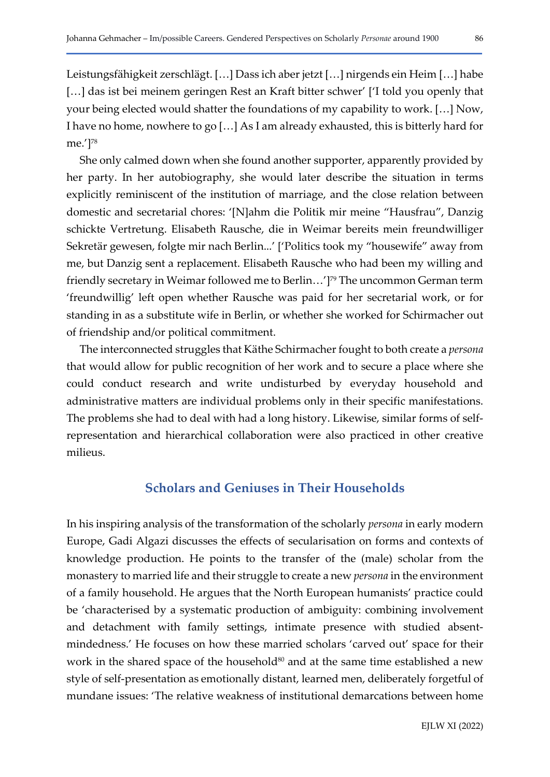Leistungsfähigkeit zerschlägt. […] Dass ich aber jetzt […] nirgends ein Heim […] habe […] das ist bei meinem geringen Rest an Kraft bitter schwer' ['I told you openly that your being elected would shatter the foundations of my capability to work. […] Now, I have no home, nowhere to go […] As I am already exhausted, this is bitterly hard for me.']<sup>78</sup>

She only calmed down when she found another supporter, apparently provided by her party. In her autobiography, she would later describe the situation in terms explicitly reminiscent of the institution of marriage, and the close relation between domestic and secretarial chores: '[N]ahm die Politik mir meine "Hausfrau", Danzig schickte Vertretung. Elisabeth Rausche, die in Weimar bereits mein freundwilliger Sekretär gewesen, folgte mir nach Berlin...' ['Politics took my "housewife" away from me, but Danzig sent a replacement. Elisabeth Rausche who had been my willing and friendly secretary in Weimar followed me to Berlin...']<sup>79</sup> The uncommon German term 'freundwillig' left open whether Rausche was paid for her secretarial work, or for standing in as a substitute wife in Berlin, or whether she worked for Schirmacher out of friendship and/or political commitment.

The interconnected struggles that Käthe Schirmacher fought to both create a persona that would allow for public recognition of her work and to secure a place where she could conduct research and write undisturbed by everyday household and administrative matters are individual problems only in their specific manifestations. The problems she had to deal with had a long history. Likewise, similar forms of selfrepresentation and hierarchical collaboration were also practiced in other creative milieus.

#### Scholars and Geniuses in Their Households

In his inspiring analysis of the transformation of the scholarly *persona* in early modern Europe, Gadi Algazi discusses the effects of secularisation on forms and contexts of knowledge production. He points to the transfer of the (male) scholar from the monastery to married life and their struggle to create a new persona in the environment of a family household. He argues that the North European humanists' practice could be 'characterised by a systematic production of ambiguity: combining involvement and detachment with family settings, intimate presence with studied absentmindedness.' He focuses on how these married scholars 'carved out' space for their work in the shared space of the household<sup>80</sup> and at the same time established a new style of self-presentation as emotionally distant, learned men, deliberately forgetful of mundane issues: 'The relative weakness of institutional demarcations between home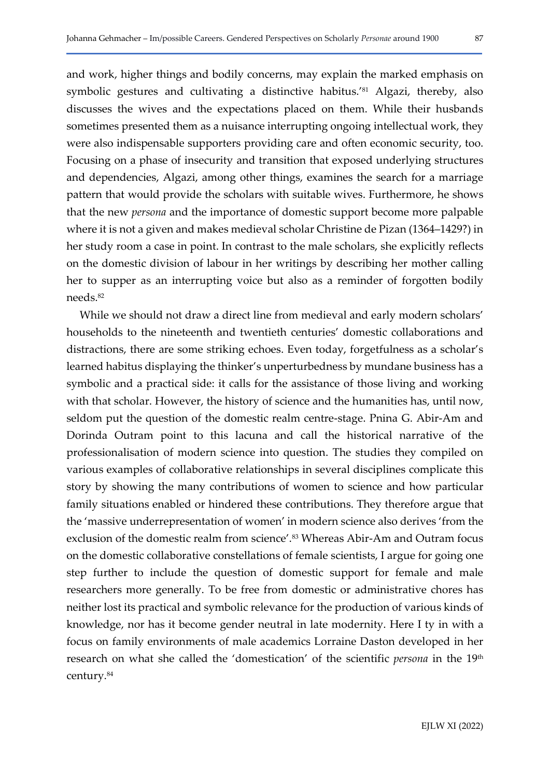and work, higher things and bodily concerns, may explain the marked emphasis on symbolic gestures and cultivating a distinctive habitus.<sup>'81</sup> Algazi, thereby, also discusses the wives and the expectations placed on them. While their husbands sometimes presented them as a nuisance interrupting ongoing intellectual work, they were also indispensable supporters providing care and often economic security, too. Focusing on a phase of insecurity and transition that exposed underlying structures and dependencies, Algazi, among other things, examines the search for a marriage pattern that would provide the scholars with suitable wives. Furthermore, he shows that the new persona and the importance of domestic support become more palpable where it is not a given and makes medieval scholar Christine de Pizan (1364–1429?) in her study room a case in point. In contrast to the male scholars, she explicitly reflects on the domestic division of labour in her writings by describing her mother calling her to supper as an interrupting voice but also as a reminder of forgotten bodily needs.<sup>82</sup>

While we should not draw a direct line from medieval and early modern scholars' households to the nineteenth and twentieth centuries' domestic collaborations and distractions, there are some striking echoes. Even today, forgetfulness as a scholar's learned habitus displaying the thinker's unperturbedness by mundane business has a symbolic and a practical side: it calls for the assistance of those living and working with that scholar. However, the history of science and the humanities has, until now, seldom put the question of the domestic realm centre-stage. Pnina G. Abir-Am and Dorinda Outram point to this lacuna and call the historical narrative of the professionalisation of modern science into question. The studies they compiled on various examples of collaborative relationships in several disciplines complicate this story by showing the many contributions of women to science and how particular family situations enabled or hindered these contributions. They therefore argue that the 'massive underrepresentation of women' in modern science also derives 'from the exclusion of the domestic realm from science'.<sup>83</sup> Whereas Abir-Am and Outram focus on the domestic collaborative constellations of female scientists, I argue for going one step further to include the question of domestic support for female and male researchers more generally. To be free from domestic or administrative chores has neither lost its practical and symbolic relevance for the production of various kinds of knowledge, nor has it become gender neutral in late modernity. Here I ty in with a focus on family environments of male academics Lorraine Daston developed in her research on what she called the 'domestication' of the scientific *persona* in the  $19<sup>th</sup>$ century.84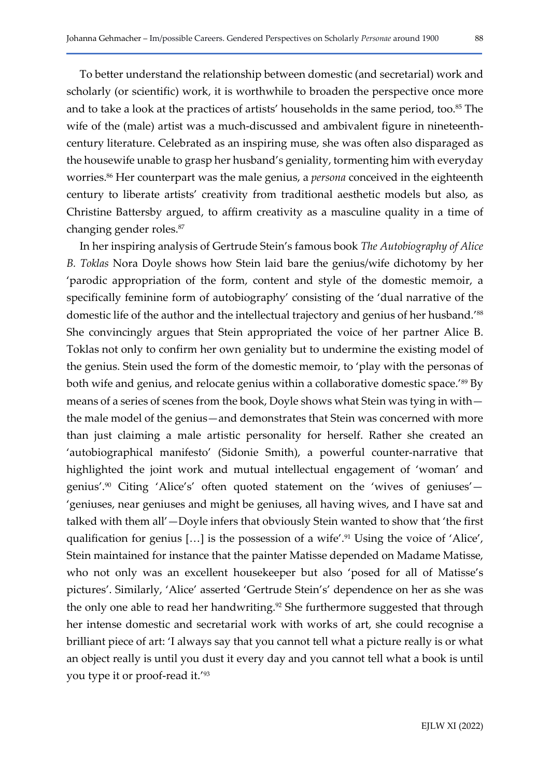To better understand the relationship between domestic (and secretarial) work and scholarly (or scientific) work, it is worthwhile to broaden the perspective once more and to take a look at the practices of artists' households in the same period, too.<sup>85</sup> The wife of the (male) artist was a much-discussed and ambivalent figure in nineteenthcentury literature. Celebrated as an inspiring muse, she was often also disparaged as the housewife unable to grasp her husband's geniality, tormenting him with everyday worries.<sup>86</sup> Her counterpart was the male genius, a *persona* conceived in the eighteenth century to liberate artists' creativity from traditional aesthetic models but also, as Christine Battersby argued, to affirm creativity as a masculine quality in a time of changing gender roles.<sup>87</sup>

In her inspiring analysis of Gertrude Stein's famous book The Autobiography of Alice B. Toklas Nora Doyle shows how Stein laid bare the genius/wife dichotomy by her 'parodic appropriation of the form, content and style of the domestic memoir, a specifically feminine form of autobiography' consisting of the 'dual narrative of the domestic life of the author and the intellectual trajectory and genius of her husband.'<sup>88</sup> She convincingly argues that Stein appropriated the voice of her partner Alice B. Toklas not only to confirm her own geniality but to undermine the existing model of the genius. Stein used the form of the domestic memoir, to 'play with the personas of both wife and genius, and relocate genius within a collaborative domestic space.<sup>'89</sup> By means of a series of scenes from the book, Doyle shows what Stein was tying in with the male model of the genius—and demonstrates that Stein was concerned with more than just claiming a male artistic personality for herself. Rather she created an 'autobiographical manifesto' (Sidonie Smith), a powerful counter-narrative that highlighted the joint work and mutual intellectual engagement of 'woman' and genius'.90 Citing 'Alice's' often quoted statement on the 'wives of geniuses'— 'geniuses, near geniuses and might be geniuses, all having wives, and I have sat and talked with them all'—Doyle infers that obviously Stein wanted to show that 'the first qualification for genius  $[...]$  is the possession of a wife'.<sup>91</sup> Using the voice of 'Alice', Stein maintained for instance that the painter Matisse depended on Madame Matisse, who not only was an excellent housekeeper but also 'posed for all of Matisse's pictures'. Similarly, 'Alice' asserted 'Gertrude Stein's' dependence on her as she was the only one able to read her handwriting.<sup>92</sup> She furthermore suggested that through her intense domestic and secretarial work with works of art, she could recognise a brilliant piece of art: 'I always say that you cannot tell what a picture really is or what an object really is until you dust it every day and you cannot tell what a book is until you type it or proof-read it.'93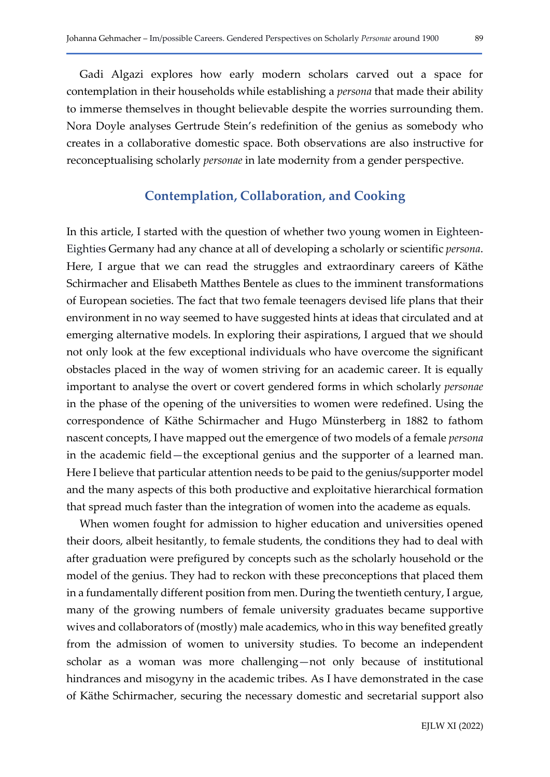Gadi Algazi explores how early modern scholars carved out a space for contemplation in their households while establishing a *persona* that made their ability to immerse themselves in thought believable despite the worries surrounding them. Nora Doyle analyses Gertrude Stein's redefinition of the genius as somebody who creates in a collaborative domestic space. Both observations are also instructive for reconceptualising scholarly personae in late modernity from a gender perspective.

## Contemplation, Collaboration, and Cooking

In this article, I started with the question of whether two young women in Eighteen-Eighties Germany had any chance at all of developing a scholarly or scientific persona. Here, I argue that we can read the struggles and extraordinary careers of Käthe Schirmacher and Elisabeth Matthes Bentele as clues to the imminent transformations of European societies. The fact that two female teenagers devised life plans that their environment in no way seemed to have suggested hints at ideas that circulated and at emerging alternative models. In exploring their aspirations, I argued that we should not only look at the few exceptional individuals who have overcome the significant obstacles placed in the way of women striving for an academic career. It is equally important to analyse the overt or covert gendered forms in which scholarly personae in the phase of the opening of the universities to women were redefined. Using the correspondence of Käthe Schirmacher and Hugo Münsterberg in 1882 to fathom nascent concepts, I have mapped out the emergence of two models of a female persona in the academic field—the exceptional genius and the supporter of a learned man. Here I believe that particular attention needs to be paid to the genius/supporter model and the many aspects of this both productive and exploitative hierarchical formation that spread much faster than the integration of women into the academe as equals.

When women fought for admission to higher education and universities opened their doors, albeit hesitantly, to female students, the conditions they had to deal with after graduation were prefigured by concepts such as the scholarly household or the model of the genius. They had to reckon with these preconceptions that placed them in a fundamentally different position from men. During the twentieth century, I argue, many of the growing numbers of female university graduates became supportive wives and collaborators of (mostly) male academics, who in this way benefited greatly from the admission of women to university studies. To become an independent scholar as a woman was more challenging—not only because of institutional hindrances and misogyny in the academic tribes. As I have demonstrated in the case of Käthe Schirmacher, securing the necessary domestic and secretarial support also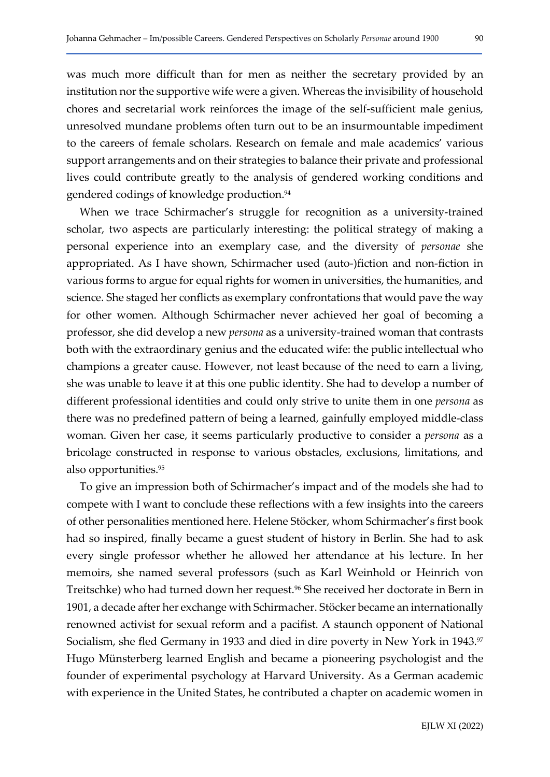was much more difficult than for men as neither the secretary provided by an institution nor the supportive wife were a given. Whereas the invisibility of household chores and secretarial work reinforces the image of the self-sufficient male genius, unresolved mundane problems often turn out to be an insurmountable impediment to the careers of female scholars. Research on female and male academics' various support arrangements and on their strategies to balance their private and professional lives could contribute greatly to the analysis of gendered working conditions and gendered codings of knowledge production.<sup>94</sup>

When we trace Schirmacher's struggle for recognition as a university-trained scholar, two aspects are particularly interesting: the political strategy of making a personal experience into an exemplary case, and the diversity of personae she appropriated. As I have shown, Schirmacher used (auto-)fiction and non-fiction in various forms to argue for equal rights for women in universities, the humanities, and science. She staged her conflicts as exemplary confrontations that would pave the way for other women. Although Schirmacher never achieved her goal of becoming a professor, she did develop a new persona as a university-trained woman that contrasts both with the extraordinary genius and the educated wife: the public intellectual who champions a greater cause. However, not least because of the need to earn a living, she was unable to leave it at this one public identity. She had to develop a number of different professional identities and could only strive to unite them in one *persona* as there was no predefined pattern of being a learned, gainfully employed middle-class woman. Given her case, it seems particularly productive to consider a persona as a bricolage constructed in response to various obstacles, exclusions, limitations, and also opportunities.<sup>95</sup>

To give an impression both of Schirmacher's impact and of the models she had to compete with I want to conclude these reflections with a few insights into the careers of other personalities mentioned here. Helene Stöcker, whom Schirmacher's first book had so inspired, finally became a guest student of history in Berlin. She had to ask every single professor whether he allowed her attendance at his lecture. In her memoirs, she named several professors (such as Karl Weinhold or Heinrich von Treitschke) who had turned down her request.96 She received her doctorate in Bern in 1901, a decade after her exchange with Schirmacher. Stöcker became an internationally renowned activist for sexual reform and a pacifist. A staunch opponent of National Socialism, she fled Germany in 1933 and died in dire poverty in New York in 1943.<sup>97</sup> Hugo Münsterberg learned English and became a pioneering psychologist and the founder of experimental psychology at Harvard University. As a German academic with experience in the United States, he contributed a chapter on academic women in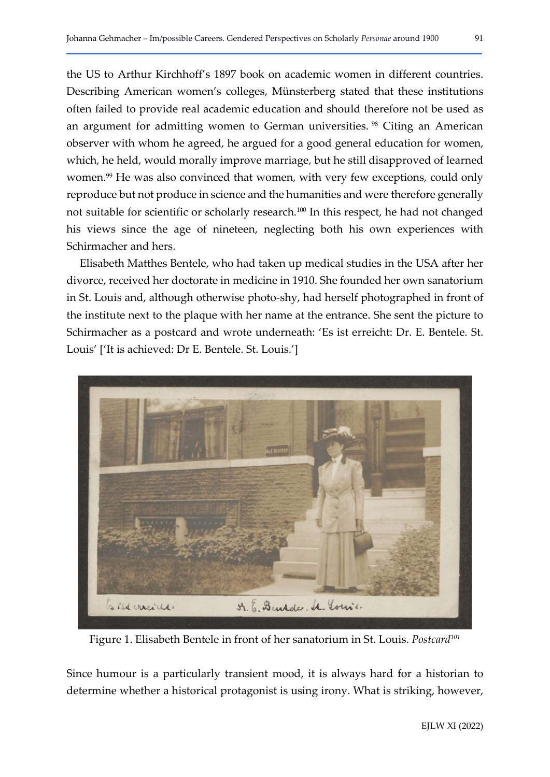the US to Arthur Kirchhoff's 1897 book on academic women in different countries. Describing American women's colleges, Münsterberg stated that these institutions often failed to provide real academic education and should therefore not be used as an argument for admitting women to German universities. 98 Citing an American observer with whom he agreed, he argued for a good general education for women, which, he held, would morally improve marriage, but he still disapproved of learned women.<sup>99</sup> He was also convinced that women, with very few exceptions, could only reproduce but not produce in science and the humanities and were therefore generally not suitable for scientific or scholarly research.100 In this respect, he had not changed his views since the age of nineteen, neglecting both his own experiences with Schirmacher and hers.

Elisabeth Matthes Bentele, who had taken up medical studies in the USA after her divorce, received her doctorate in medicine in 1910. She founded her own sanatorium in St. Louis and, although otherwise photo-shy, had herself photographed in front of the institute next to the plaque with her name at the entrance. She sent the picture to Schirmacher as a postcard and wrote underneath: 'Es ist erreicht: Dr. E. Bentele. St. Louis' ['It is achieved: Dr E. Bentele. St. Louis.']



Figure 1. Elisabeth Bentele in front of her sanatorium in St. Louis. Postcard<sup>101</sup>

Since humour is a particularly transient mood, it is always hard for a historian to determine whether a historical protagonist is using irony. What is striking, however,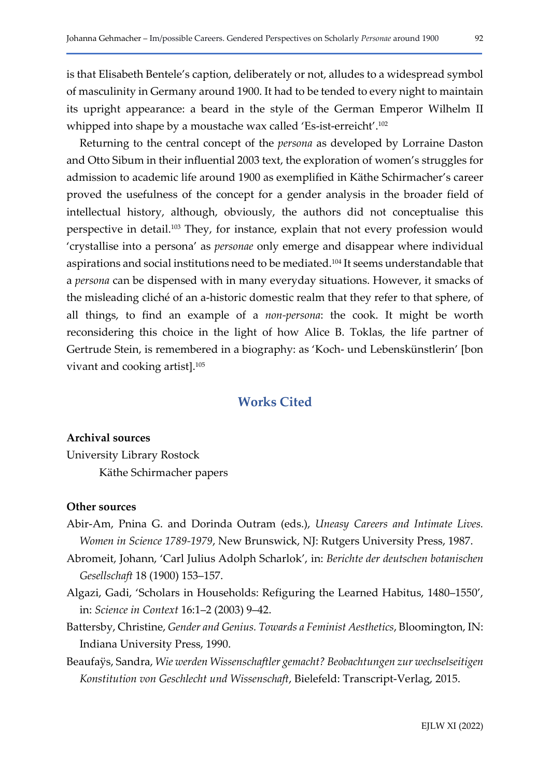is that Elisabeth Bentele's caption, deliberately or not, alludes to a widespread symbol of masculinity in Germany around 1900. It had to be tended to every night to maintain its upright appearance: a beard in the style of the German Emperor Wilhelm II whipped into shape by a moustache wax called 'Es-ist-erreicht'.<sup>102</sup>

Returning to the central concept of the persona as developed by Lorraine Daston and Otto Sibum in their influential 2003 text, the exploration of women's struggles for admission to academic life around 1900 as exemplified in Käthe Schirmacher's career proved the usefulness of the concept for a gender analysis in the broader field of intellectual history, although, obviously, the authors did not conceptualise this perspective in detail.103 They, for instance, explain that not every profession would 'crystallise into a persona' as personae only emerge and disappear where individual aspirations and social institutions need to be mediated.104 It seems understandable that a persona can be dispensed with in many everyday situations. However, it smacks of the misleading cliché of an a-historic domestic realm that they refer to that sphere, of all things, to find an example of a non-persona: the cook. It might be worth reconsidering this choice in the light of how Alice B. Toklas, the life partner of Gertrude Stein, is remembered in a biography: as 'Koch- und Lebenskünstlerin' [bon vivant and cooking artist].<sup>105</sup>

## Works Cited

#### Archival sources

University Library Rostock Käthe Schirmacher papers

#### Other sources

- Abir-Am, Pnina G. and Dorinda Outram (eds.), Uneasy Careers and Intimate Lives. Women in Science 1789-1979, New Brunswick, NJ: Rutgers University Press, 1987.
- Abromeit, Johann, 'Carl Julius Adolph Scharlok', in: Berichte der deutschen botanischen Gesellschaft 18 (1900) 153–157.
- Algazi, Gadi, 'Scholars in Households: Refiguring the Learned Habitus, 1480–1550', in: Science in Context 16:1–2 (2003) 9–42.
- Battersby, Christine, Gender and Genius. Towards a Feminist Aesthetics, Bloomington, IN: Indiana University Press, 1990.
- Beaufaÿs, Sandra, Wie werden Wissenschaftler gemacht? Beobachtungen zur wechselseitigen Konstitution von Geschlecht und Wissenschaft, Bielefeld: Transcript-Verlag, 2015.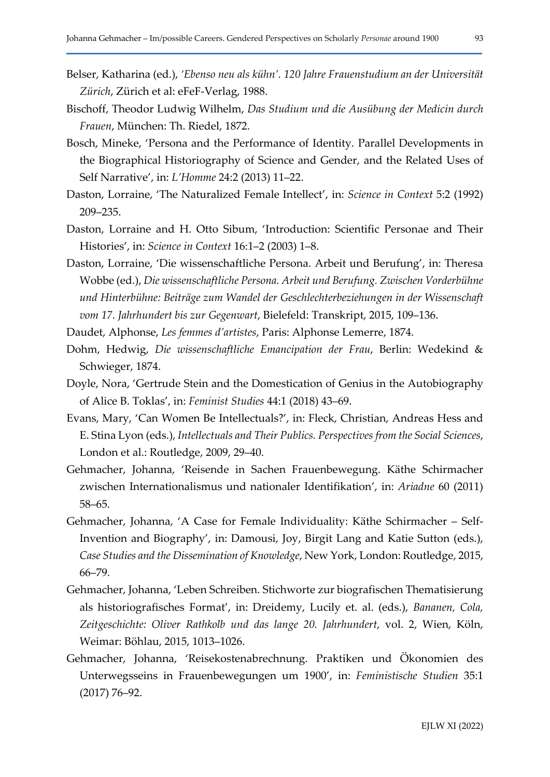- Belser, Katharina (ed.), 'Ebenso neu als kühn'. 120 Jahre Frauenstudium an der Universität Zürich, Zürich et al: eFeF-Verlag, 1988.
- Bischoff, Theodor Ludwig Wilhelm, Das Studium und die Ausübung der Medicin durch Frauen, München: Th. Riedel, 1872.
- Bosch, Mineke, 'Persona and the Performance of Identity. Parallel Developments in the Biographical Historiography of Science and Gender, and the Related Uses of Self Narrative', in: L'Homme 24:2 (2013) 11–22.
- Daston, Lorraine, 'The Naturalized Female Intellect', in: Science in Context 5:2 (1992) 209–235.
- Daston, Lorraine and H. Otto Sibum, 'Introduction: Scientific Personae and Their Histories', in: Science in Context 16:1–2 (2003) 1–8.
- Daston, Lorraine, 'Die wissenschaftliche Persona. Arbeit und Berufung', in: Theresa Wobbe (ed.), Die wissenschaftliche Persona. Arbeit und Berufung. Zwischen Vorderbühne und Hinterbühne: Beiträge zum Wandel der Geschlechterbeziehungen in der Wissenschaft vom 17. Jahrhundert bis zur Gegenwart, Bielefeld: Transkript, 2015, 109–136.
- Daudet, Alphonse, Les femmes d'artistes, Paris: Alphonse Lemerre, 1874.
- Dohm, Hedwig, Die wissenschaftliche Emancipation der Frau, Berlin: Wedekind & Schwieger, 1874.
- Doyle, Nora, 'Gertrude Stein and the Domestication of Genius in the Autobiography of Alice B. Toklas', in: Feminist Studies 44:1 (2018) 43–69.
- Evans, Mary, 'Can Women Be Intellectuals?', in: Fleck, Christian, Andreas Hess and E. Stina Lyon (eds.), Intellectuals and Their Publics. Perspectives from the Social Sciences, London et al.: Routledge, 2009, 29–40.
- Gehmacher, Johanna, 'Reisende in Sachen Frauenbewegung. Käthe Schirmacher zwischen Internationalismus und nationaler Identifikation', in: Ariadne 60 (2011) 58–65.
- Gehmacher, Johanna, 'A Case for Female Individuality: Käthe Schirmacher Self-Invention and Biography', in: Damousi, Joy, Birgit Lang and Katie Sutton (eds.), Case Studies and the Dissemination of Knowledge, New York, London: Routledge, 2015, 66–79.
- Gehmacher, Johanna, 'Leben Schreiben. Stichworte zur biografischen Thematisierung als historiografisches Format', in: Dreidemy, Lucily et. al. (eds.), Bananen, Cola, Zeitgeschichte: Oliver Rathkolb und das lange 20. Jahrhundert, vol. 2, Wien, Köln, Weimar: Böhlau, 2015, 1013–1026.
- Gehmacher, Johanna, 'Reisekostenabrechnung. Praktiken und Ökonomien des Unterwegsseins in Frauenbewegungen um 1900', in: Feministische Studien 35:1 (2017) 76–92.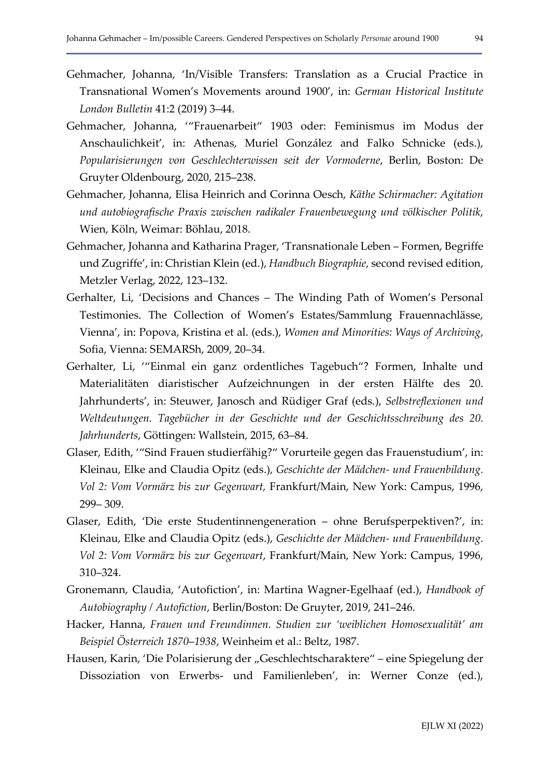- Gehmacher, Johanna, 'In/Visible Transfers: Translation as a Crucial Practice in Transnational Women's Movements around 1900', in: German Historical Institute London Bulletin 41:2 (2019) 3–44.
- Gehmacher, Johanna, '"Frauenarbeit" 1903 oder: Feminismus im Modus der Anschaulichkeit', in: Athenas, Muriel González and Falko Schnicke (eds.), Popularisierungen von Geschlechterwissen seit der Vormoderne, Berlin, Boston: De Gruyter Oldenbourg, 2020, 215–238.
- Gehmacher, Johanna, Elisa Heinrich and Corinna Oesch, Käthe Schirmacher: Agitation und autobiografische Praxis zwischen radikaler Frauenbewegung und völkischer Politik, Wien, Köln, Weimar: Böhlau, 2018.
- Gehmacher, Johanna and Katharina Prager, 'Transnationale Leben Formen, Begriffe und Zugriffe', in: Christian Klein (ed.), Handbuch Biographie, second revised edition, Metzler Verlag, 2022, 123–132.
- Gerhalter, Li, 'Decisions and Chances The Winding Path of Women's Personal Testimonies. The Collection of Women's Estates/Sammlung Frauennachlässe, Vienna', in: Popova, Kristina et al. (eds.), Women and Minorities: Ways of Archiving, Sofia, Vienna: SEMARSh, 2009, 20–34.
- Gerhalter, Li, '"Einmal ein ganz ordentliches Tagebuch"? Formen, Inhalte und Materialitäten diaristischer Aufzeichnungen in der ersten Hälfte des 20. Jahrhunderts', in: Steuwer, Janosch and Rüdiger Graf (eds.), Selbstreflexionen und Weltdeutungen. Tagebücher in der Geschichte und der Geschichtsschreibung des 20. Jahrhunderts, Göttingen: Wallstein, 2015, 63–84.
- Glaser, Edith, '"Sind Frauen studierfähig?" Vorurteile gegen das Frauenstudium', in: Kleinau, Elke and Claudia Opitz (eds.), Geschichte der Mädchen- und Frauenbildung. Vol 2: Vom Vormärz bis zur Gegenwart, Frankfurt/Main, New York: Campus, 1996, 299– 309.
- Glaser, Edith, 'Die erste Studentinnengeneration ohne Berufsperpektiven?', in: Kleinau, Elke and Claudia Opitz (eds.), Geschichte der Mädchen- und Frauenbildung. Vol 2: Vom Vormärz bis zur Gegenwart, Frankfurt/Main, New York: Campus, 1996, 310–324.
- Gronemann, Claudia, 'Autofiction', in: Martina Wagner-Egelhaaf (ed.), Handbook of Autobiography / Autofiction, Berlin/Boston: De Gruyter, 2019, 241–246.
- Hacker, Hanna, Frauen und Freundinnen. Studien zur 'weiblichen Homosexualität' am Beispiel Österreich 1870–1938, Weinheim et al.: Beltz, 1987.
- Hausen, Karin, 'Die Polarisierung der "Geschlechtscharaktere" eine Spiegelung der Dissoziation von Erwerbs- und Familienleben', in: Werner Conze (ed.),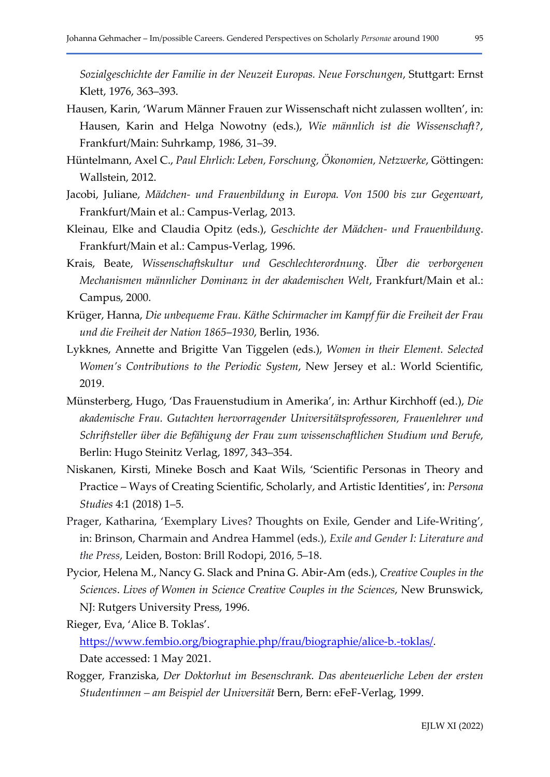Sozialgeschichte der Familie in der Neuzeit Europas. Neue Forschungen, Stuttgart: Ernst Klett, 1976, 363–393.

- Hausen, Karin, 'Warum Männer Frauen zur Wissenschaft nicht zulassen wollten', in: Hausen, Karin and Helga Nowotny (eds.), Wie männlich ist die Wissenschaft?, Frankfurt/Main: Suhrkamp, 1986, 31–39.
- Hüntelmann, Axel C., Paul Ehrlich: Leben, Forschung, Ökonomien, Netzwerke, Göttingen: Wallstein, 2012.
- Jacobi, Juliane, Mädchen- und Frauenbildung in Europa. Von 1500 bis zur Gegenwart, Frankfurt/Main et al.: Campus-Verlag, 2013.
- Kleinau, Elke and Claudia Opitz (eds.), Geschichte der Mädchen- und Frauenbildung. Frankfurt/Main et al.: Campus-Verlag, 1996.
- Krais, Beate, Wissenschaftskultur und Geschlechterordnung. Über die verborgenen Mechanismen männlicher Dominanz in der akademischen Welt, Frankfurt/Main et al.: Campus, 2000.
- Krüger, Hanna, Die unbequeme Frau. Käthe Schirmacher im Kampf für die Freiheit der Frau und die Freiheit der Nation 1865–1930, Berlin, 1936.
- Lykknes, Annette and Brigitte Van Tiggelen (eds.), Women in their Element. Selected Women's Contributions to the Periodic System, New Jersey et al.: World Scientific, 2019.
- Münsterberg, Hugo, 'Das Frauenstudium in Amerika', in: Arthur Kirchhoff (ed.), Die akademische Frau. Gutachten hervorragender Universitätsprofessoren, Frauenlehrer und Schriftsteller über die Befähigung der Frau zum wissenschaftlichen Studium und Berufe, Berlin: Hugo Steinitz Verlag, 1897, 343–354.
- Niskanen, Kirsti, Mineke Bosch and Kaat Wils, 'Scientific Personas in Theory and Practice – Ways of Creating Scientific, Scholarly, and Artistic Identities', in: Persona Studies 4:1 (2018) 1–5.
- Prager, Katharina, 'Exemplary Lives? Thoughts on Exile, Gender and Life-Writing', in: Brinson, Charmain and Andrea Hammel (eds.), Exile and Gender I: Literature and the Press, Leiden, Boston: Brill Rodopi, 2016, 5–18.
- Pycior, Helena M., Nancy G. Slack and Pnina G. Abir-Am (eds.), Creative Couples in the Sciences. Lives of Women in Science Creative Couples in the Sciences, New Brunswick, NJ: Rutgers University Press, 1996.

Rieger, Eva, 'Alice B. Toklas'.

https://www.fembio.org/biographie.php/frau/biographie/alice-b.-toklas/. Date accessed: 1 May 2021.

Rogger, Franziska, Der Doktorhut im Besenschrank. Das abenteuerliche Leben der ersten Studentinnen – am Beispiel der Universität Bern, Bern: eFeF-Verlag, 1999.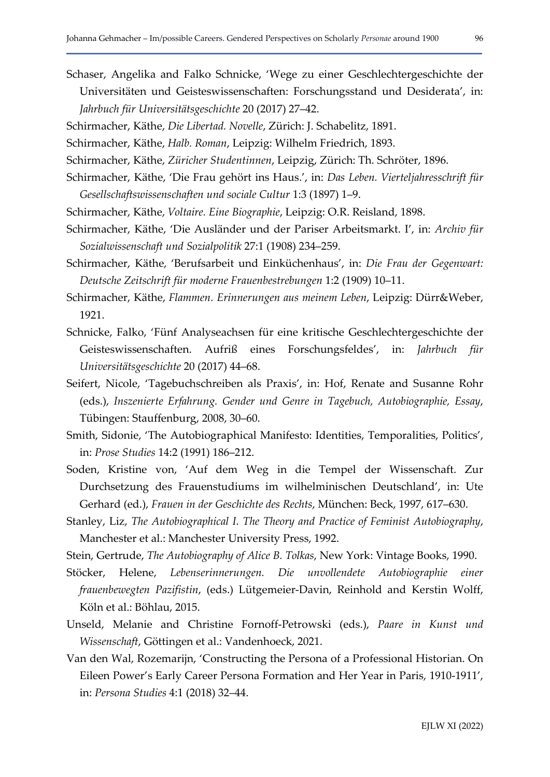- Schaser, Angelika and Falko Schnicke, 'Wege zu einer Geschlechtergeschichte der Universitäten und Geisteswissenschaften: Forschungsstand und Desiderata', in: Jahrbuch für Universitätsgeschichte 20 (2017) 27–42.
- Schirmacher, Käthe, Die Libertad. Novelle, Zürich: J. Schabelitz, 1891.
- Schirmacher, Käthe, Halb. Roman, Leipzig: Wilhelm Friedrich, 1893.
- Schirmacher, Käthe, Züricher Studentinnen, Leipzig, Zürich: Th. Schröter, 1896.
- Schirmacher, Käthe, 'Die Frau gehört ins Haus.', in: Das Leben. Vierteljahresschrift für Gesellschaftswissenschaften und sociale Cultur 1:3 (1897) 1–9.
- Schirmacher, Käthe, Voltaire. Eine Biographie, Leipzig: O.R. Reisland, 1898.
- Schirmacher, Käthe, 'Die Ausländer und der Pariser Arbeitsmarkt. I', in: Archiv für Sozialwissenschaft und Sozialpolitik 27:1 (1908) 234–259.
- Schirmacher, Käthe, 'Berufsarbeit und Einküchenhaus', in: Die Frau der Gegenwart: Deutsche Zeitschrift für moderne Frauenbestrebungen 1:2 (1909) 10–11.
- Schirmacher, Käthe, Flammen. Erinnerungen aus meinem Leben, Leipzig: Dürr&Weber, 1921.
- Schnicke, Falko, 'Fünf Analyseachsen für eine kritische Geschlechtergeschichte der Geisteswissenschaften. Aufriß eines Forschungsfeldes', in: Jahrbuch für Universitätsgeschichte 20 (2017) 44–68.
- Seifert, Nicole, 'Tagebuchschreiben als Praxis', in: Hof, Renate and Susanne Rohr (eds.), Inszenierte Erfahrung. Gender und Genre in Tagebuch, Autobiographie, Essay, Tübingen: Stauffenburg, 2008, 30–60.
- Smith, Sidonie, 'The Autobiographical Manifesto: Identities, Temporalities, Politics', in: Prose Studies 14:2 (1991) 186–212.
- Soden, Kristine von, 'Auf dem Weg in die Tempel der Wissenschaft. Zur Durchsetzung des Frauenstudiums im wilhelminischen Deutschland', in: Ute Gerhard (ed.), Frauen in der Geschichte des Rechts, München: Beck, 1997, 617–630.
- Stanley, Liz, The Autobiographical I. The Theory and Practice of Feminist Autobiography, Manchester et al.: Manchester University Press, 1992.
- Stein, Gertrude, The Autobiography of Alice B. Tolkas, New York: Vintage Books, 1990.
- Stöcker, Helene, Lebenserinnerungen. Die unvollendete Autobiographie einer frauenbewegten Pazifistin, (eds.) Lütgemeier-Davin, Reinhold and Kerstin Wolff, Köln et al.: Böhlau, 2015.
- Unseld, Melanie and Christine Fornoff-Petrowski (eds.), Paare in Kunst und Wissenschaft, Göttingen et al.: Vandenhoeck, 2021.
- Van den Wal, Rozemarijn, 'Constructing the Persona of a Professional Historian. On Eileen Power's Early Career Persona Formation and Her Year in Paris, 1910-1911', in: Persona Studies 4:1 (2018) 32–44.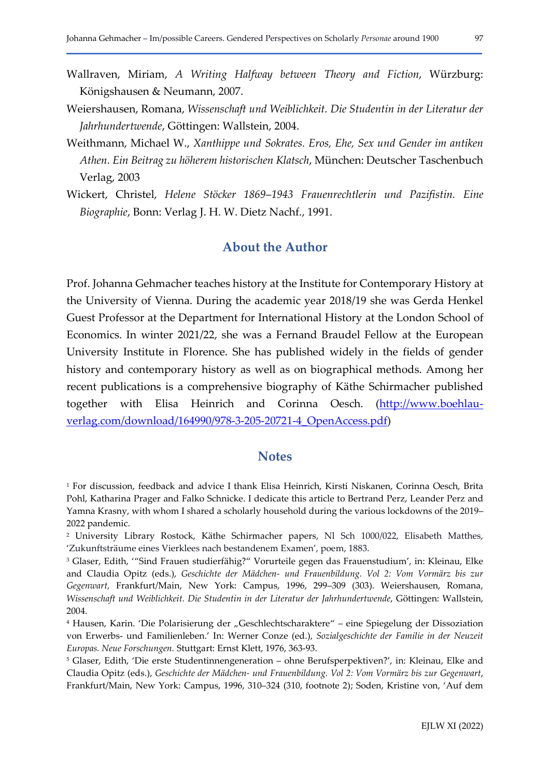- Wallraven, Miriam, A Writing Halfway between Theory and Fiction, Würzburg: Königshausen & Neumann, 2007.
- Weiershausen, Romana, Wissenschaft und Weiblichkeit. Die Studentin in der Literatur der Jahrhundertwende, Göttingen: Wallstein, 2004.
- Weithmann, Michael W., Xanthippe und Sokrates. Eros, Ehe, Sex und Gender im antiken Athen. Ein Beitrag zu höherem historischen Klatsch, München: Deutscher Taschenbuch Verlag, 2003
- Wickert, Christel, Helene Stöcker 1869–1943 Frauenrechtlerin und Pazifistin. Eine Biographie, Bonn: Verlag J. H. W. Dietz Nachf., 1991.

### About the Author

Prof. Johanna Gehmacher teaches history at the Institute for Contemporary History at the University of Vienna. During the academic year 2018/19 she was Gerda Henkel Guest Professor at the Department for International History at the London School of Economics. In winter 2021/22, she was a Fernand Braudel Fellow at the European University Institute in Florence. She has published widely in the fields of gender history and contemporary history as well as on biographical methods. Among her recent publications is a comprehensive biography of Käthe Schirmacher published together with Elisa Heinrich and Corinna Oesch. (http://www.boehlauverlag.com/download/164990/978-3-205-20721-4\_OpenAccess.pdf)

#### **Notes**

<sup>1</sup> For discussion, feedback and advice I thank Elisa Heinrich, Kirsti Niskanen, Corinna Oesch, Brita Pohl, Katharina Prager and Falko Schnicke. I dedicate this article to Bertrand Perz, Leander Perz and Yamna Krasny, with whom I shared a scholarly household during the various lockdowns of the 2019– 2022 pandemic.

<sup>2</sup> University Library Rostock, Käthe Schirmacher papers, Nl Sch 1000/022, Elisabeth Matthes, 'Zukunftsträume eines Vierklees nach bestandenem Examen', poem, 1883.

<sup>3</sup> Glaser, Edith, '"Sind Frauen studierfähig?" Vorurteile gegen das Frauenstudium', in: Kleinau, Elke and Claudia Opitz (eds.), Geschichte der Mädchen- und Frauenbildung. Vol 2: Vom Vormärz bis zur Gegenwart, Frankfurt/Main, New York: Campus, 1996, 299–309 (303). Weiershausen, Romana, Wissenschaft und Weiblichkeit. Die Studentin in der Literatur der Jahrhundertwende, Göttingen: Wallstein, 2004.

<sup>4</sup> Hausen, Karin. 'Die Polarisierung der "Geschlechtscharaktere" – eine Spiegelung der Dissoziation von Erwerbs- und Familienleben.' In: Werner Conze (ed.), Sozialgeschichte der Familie in der Neuzeit Europas. Neue Forschungen. Stuttgart: Ernst Klett, 1976, 363-93.

<sup>5</sup> Glaser, Edith, 'Die erste Studentinnengeneration – ohne Berufsperpektiven?', in: Kleinau, Elke and Claudia Opitz (eds.), Geschichte der Mädchen- und Frauenbildung. Vol 2: Vom Vormärz bis zur Gegenwart, Frankfurt/Main, New York: Campus, 1996, 310–324 (310, footnote 2); Soden, Kristine von, 'Auf dem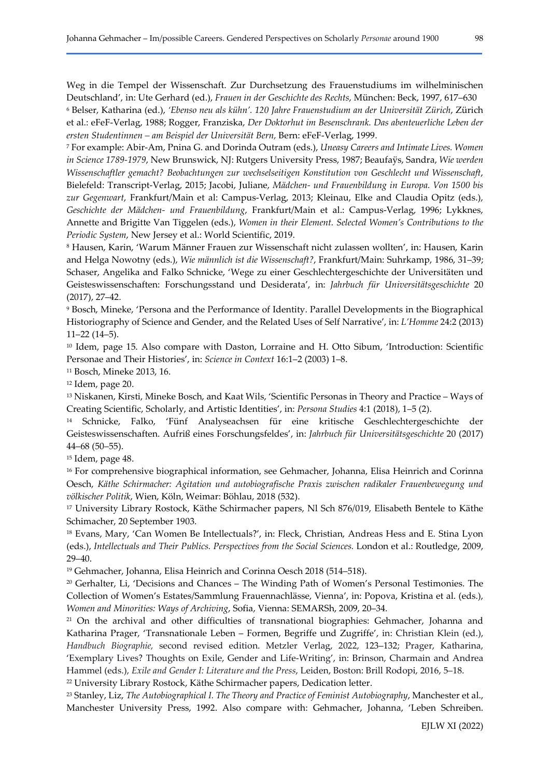7 For example: Abir-Am, Pnina G. and Dorinda Outram (eds.), Uneasy Careers and Intimate Lives. Women in Science 1789-1979, New Brunswick, NJ: Rutgers University Press, 1987; Beaufaÿs, Sandra, Wie werden Wissenschaftler gemacht? Beobachtungen zur wechselseitigen Konstitution von Geschlecht und Wissenschaft, Bielefeld: Transcript-Verlag, 2015; Jacobi, Juliane, Mädchen- und Frauenbildung in Europa. Von 1500 bis zur Gegenwart, Frankfurt/Main et al: Campus-Verlag, 2013; Kleinau, Elke and Claudia Opitz (eds.), Geschichte der Mädchen- und Frauenbildung, Frankfurt/Main et al.: Campus-Verlag, 1996; Lykknes, Annette and Brigitte Van Tiggelen (eds.), Women in their Element. Selected Women's Contributions to the Periodic System, New Jersey et al.: World Scientific, 2019.

8 Hausen, Karin, 'Warum Männer Frauen zur Wissenschaft nicht zulassen wollten', in: Hausen, Karin and Helga Nowotny (eds.), Wie männlich ist die Wissenschaft?, Frankfurt/Main: Suhrkamp, 1986, 31–39; Schaser, Angelika and Falko Schnicke, 'Wege zu einer Geschlechtergeschichte der Universitäten und Geisteswissenschaften: Forschungsstand und Desiderata', in: Jahrbuch für Universitätsgeschichte 20 (2017), 27–42.

9 Bosch, Mineke, 'Persona and the Performance of Identity. Parallel Developments in the Biographical Historiography of Science and Gender, and the Related Uses of Self Narrative', in: L'Homme 24:2 (2013) 11–22 (14–5).

<sup>10</sup> Idem, page 15. Also compare with Daston, Lorraine and H. Otto Sibum, 'Introduction: Scientific Personae and Their Histories', in: Science in Context 16:1–2 (2003) 1–8.

<sup>11</sup> Bosch, Mineke 2013, 16.

<sup>12</sup> Idem, page 20.

<sup>13</sup> Niskanen, Kirsti, Mineke Bosch, and Kaat Wils, 'Scientific Personas in Theory and Practice – Ways of Creating Scientific, Scholarly, and Artistic Identities', in: Persona Studies 4:1 (2018), 1–5 (2).

<sup>14</sup> Schnicke, Falko, 'Fünf Analyseachsen für eine kritische Geschlechtergeschichte der Geisteswissenschaften. Aufriß eines Forschungsfeldes', in: Jahrbuch für Universitätsgeschichte 20 (2017) 44–68 (50–55).

<sup>15</sup> Idem, page 48.

<sup>16</sup> For comprehensive biographical information, see Gehmacher, Johanna, Elisa Heinrich and Corinna Oesch, Käthe Schirmacher: Agitation und autobiografische Praxis zwischen radikaler Frauenbewegung und völkischer Politik, Wien, Köln, Weimar: Böhlau, 2018 (532).

<sup>17</sup> University Library Rostock, Käthe Schirmacher papers, Nl Sch 876/019, Elisabeth Bentele to Käthe Schimacher, 20 September 1903.

<sup>18</sup> Evans, Mary, 'Can Women Be Intellectuals?', in: Fleck, Christian, Andreas Hess and E. Stina Lyon (eds.), Intellectuals and Their Publics. Perspectives from the Social Sciences. London et al.: Routledge, 2009, 29–40.

<sup>19</sup> Gehmacher, Johanna, Elisa Heinrich and Corinna Oesch 2018 (514–518).

<sup>20</sup> Gerhalter, Li, 'Decisions and Chances – The Winding Path of Women's Personal Testimonies. The Collection of Women's Estates/Sammlung Frauennachlässe, Vienna', in: Popova, Kristina et al. (eds.), Women and Minorities: Ways of Archiving, Sofia, Vienna: SEMARSh, 2009, 20–34.

<sup>21</sup> On the archival and other difficulties of transnational biographies: Gehmacher, Johanna and Katharina Prager, 'Transnationale Leben – Formen, Begriffe und Zugriffe', in: Christian Klein (ed.), Handbuch Biographie, second revised edition. Metzler Verlag, 2022, 123–132; Prager, Katharina, 'Exemplary Lives? Thoughts on Exile, Gender and Life-Writing', in: Brinson, Charmain and Andrea Hammel (eds.), Exile and Gender I: Literature and the Press, Leiden, Boston: Brill Rodopi, 2016, 5–18.

<sup>22</sup> University Library Rostock, Käthe Schirmacher papers, Dedication letter.

<sup>23</sup> Stanley, Liz, The Autobiographical I. The Theory and Practice of Feminist Autobiography, Manchester et al., Manchester University Press, 1992. Also compare with: Gehmacher, Johanna, 'Leben Schreiben.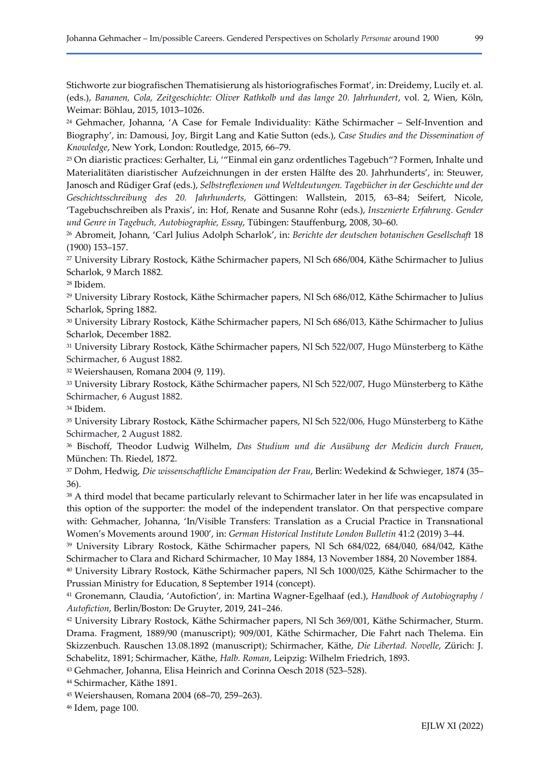Stichworte zur biografischen Thematisierung als historiografisches Format', in: Dreidemy, Lucily et. al. (eds.), Bananen, Cola, Zeitgeschichte: Oliver Rathkolb und das lange 20. Jahrhundert, vol. 2, Wien, Köln, Weimar: Böhlau, 2015, 1013–1026.

<sup>24</sup> Gehmacher, Johanna, 'A Case for Female Individuality: Käthe Schirmacher – Self-Invention and Biography', in: Damousi, Joy, Birgit Lang and Katie Sutton (eds.), Case Studies and the Dissemination of Knowledge, New York, London: Routledge, 2015, 66–79.

<sup>25</sup> On diaristic practices: Gerhalter, Li, '"Einmal ein ganz ordentliches Tagebuch"? Formen, Inhalte und Materialitäten diaristischer Aufzeichnungen in der ersten Hälfte des 20. Jahrhunderts', in: Steuwer, Janosch and Rüdiger Graf (eds.), Selbstreflexionen und Weltdeutungen. Tagebücher in der Geschichte und der Geschichtsschreibung des 20. Jahrhunderts, Göttingen: Wallstein, 2015, 63–84; Seifert, Nicole, 'Tagebuchschreiben als Praxis', in: Hof, Renate and Susanne Rohr (eds.), Inszenierte Erfahrung. Gender und Genre in Tagebuch, Autobiographie, Essay, Tübingen: Stauffenburg, 2008, 30–60.

<sup>26</sup> Abromeit, Johann, 'Carl Julius Adolph Scharlok', in: Berichte der deutschen botanischen Gesellschaft 18 (1900) 153–157.

<sup>27</sup> University Library Rostock, Käthe Schirmacher papers, Nl Sch 686/004, Käthe Schirmacher to Julius Scharlok, 9 March 1882.

<sup>28</sup> Ibidem.

<sup>29</sup> University Library Rostock, Käthe Schirmacher papers, Nl Sch 686/012, Käthe Schirmacher to Julius Scharlok, Spring 1882.

<sup>30</sup> University Library Rostock, Käthe Schirmacher papers, Nl Sch 686/013, Käthe Schirmacher to Julius Scharlok, December 1882.

<sup>31</sup> University Library Rostock, Käthe Schirmacher papers, Nl Sch 522/007, Hugo Münsterberg to Käthe Schirmacher, 6 August 1882.

<sup>32</sup> Weiershausen, Romana 2004 (9, 119).

<sup>33</sup> University Library Rostock, Käthe Schirmacher papers, Nl Sch 522/007, Hugo Münsterberg to Käthe Schirmacher, 6 August 1882.

<sup>34</sup> Ibidem.

<sup>35</sup> University Library Rostock, Käthe Schirmacher papers, Nl Sch 522/006, Hugo Münsterberg to Käthe Schirmacher, 2 August 1882.

<sup>36</sup> Bischoff, Theodor Ludwig Wilhelm, Das Studium und die Ausübung der Medicin durch Frauen, München: Th. Riedel, 1872.

<sup>37</sup> Dohm, Hedwig, Die wissenschaftliche Emancipation der Frau, Berlin: Wedekind & Schwieger, 1874 (35– 36).

<sup>38</sup> A third model that became particularly relevant to Schirmacher later in her life was encapsulated in this option of the supporter: the model of the independent translator. On that perspective compare with: Gehmacher, Johanna, 'In/Visible Transfers: Translation as a Crucial Practice in Transnational Women's Movements around 1900', in: German Historical Institute London Bulletin 41:2 (2019) 3–44.

<sup>39</sup> University Library Rostock, Käthe Schirmacher papers, Nl Sch 684/022, 684/040, 684/042, Käthe Schirmacher to Clara and Richard Schirmacher, 10 May 1884, 13 November 1884, 20 November 1884.

<sup>40</sup> University Library Rostock, Käthe Schirmacher papers, Nl Sch 1000/025, Käthe Schirmacher to the Prussian Ministry for Education, 8 September 1914 (concept).

<sup>41</sup> Gronemann, Claudia, 'Autofiction', in: Martina Wagner-Egelhaaf (ed.), Handbook of Autobiography / Autofiction, Berlin/Boston: De Gruyter, 2019, 241–246.

<sup>42</sup> University Library Rostock, Käthe Schirmacher papers, Nl Sch 369/001, Käthe Schirmacher, Sturm. Drama. Fragment, 1889/90 (manuscript); 909/001, Käthe Schirmacher, Die Fahrt nach Thelema. Ein Skizzenbuch. Rauschen 13.08.1892 (manuscript); Schirmacher, Käthe, Die Libertad. Novelle, Zürich: J. Schabelitz, 1891; Schirmacher, Käthe, Halb. Roman, Leipzig: Wilhelm Friedrich, 1893.

<sup>43</sup> Gehmacher, Johanna, Elisa Heinrich and Corinna Oesch 2018 (523–528).

<sup>44</sup> Schirmacher, Käthe 1891.

<sup>45</sup> Weiershausen, Romana 2004 (68–70, 259–263).

46 Idem, page 100.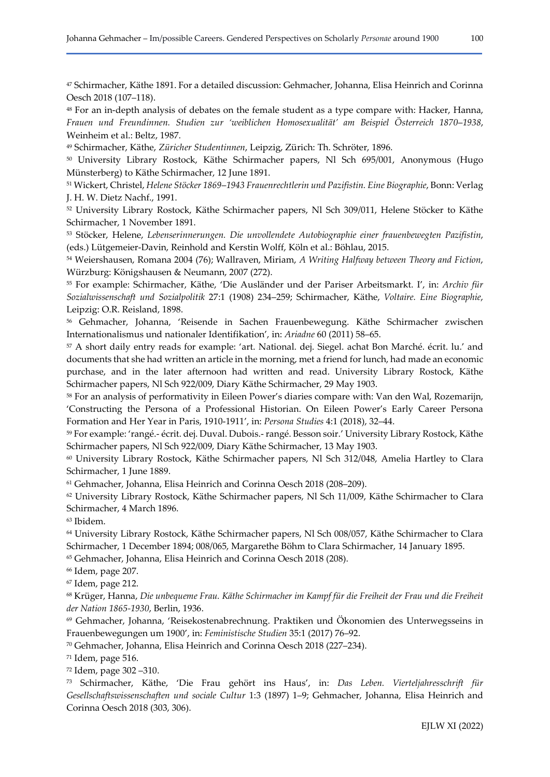<sup>47</sup> Schirmacher, Käthe 1891. For a detailed discussion: Gehmacher, Johanna, Elisa Heinrich and Corinna Oesch 2018 (107–118).

<sup>48</sup> For an in-depth analysis of debates on the female student as a type compare with: Hacker, Hanna, Frauen und Freundinnen. Studien zur 'weiblichen Homosexualität' am Beispiel Österreich 1870–1938, Weinheim et al.: Beltz, 1987.

<sup>49</sup> Schirmacher, Käthe, Züricher Studentinnen, Leipzig, Zürich: Th. Schröter, 1896.

<sup>50</sup> University Library Rostock, Käthe Schirmacher papers, Nl Sch 695/001, Anonymous (Hugo Münsterberg) to Käthe Schirmacher, 12 June 1891.

<sup>51</sup> Wickert, Christel, Helene Stöcker 1869–1943 Frauenrechtlerin und Pazifistin. Eine Biographie, Bonn: Verlag J. H. W. Dietz Nachf., 1991.

<sup>52</sup> University Library Rostock, Käthe Schirmacher papers, Nl Sch 309/011, Helene Stöcker to Käthe Schirmacher, 1 November 1891.

<sup>53</sup> Stöcker, Helene, Lebenserinnerungen. Die unvollendete Autobiographie einer frauenbewegten Pazifistin, (eds.) Lütgemeier-Davin, Reinhold and Kerstin Wolff, Köln et al.: Böhlau, 2015.

54 Weiershausen, Romana 2004 (76); Wallraven, Miriam, A Writing Halfway between Theory and Fiction, Würzburg: Königshausen & Neumann, 2007 (272).

55 For example: Schirmacher, Käthe, 'Die Ausländer und der Pariser Arbeitsmarkt. I', in: Archiv für Sozialwissenschaft und Sozialpolitik 27:1 (1908) 234–259; Schirmacher, Käthe, Voltaire. Eine Biographie, Leipzig: O.R. Reisland, 1898.

<sup>56</sup> Gehmacher, Johanna, 'Reisende in Sachen Frauenbewegung. Käthe Schirmacher zwischen Internationalismus und nationaler Identifikation', in: Ariadne 60 (2011) 58–65.

<sup>57</sup> A short daily entry reads for example: 'art. National. dej. Siegel. achat Bon Marché. écrit. lu.' and documents that she had written an article in the morning, met a friend for lunch, had made an economic purchase, and in the later afternoon had written and read. University Library Rostock, Käthe Schirmacher papers, Nl Sch 922/009, Diary Käthe Schirmacher, 29 May 1903.

<sup>58</sup> For an analysis of performativity in Eileen Power's diaries compare with: Van den Wal, Rozemarijn, 'Constructing the Persona of a Professional Historian. On Eileen Power's Early Career Persona Formation and Her Year in Paris, 1910-1911', in: Persona Studies 4:1 (2018), 32–44.

<sup>59</sup> For example: 'rangé.- écrit. dej. Duval. Dubois.- rangé. Besson soir.' University Library Rostock, Käthe Schirmacher papers, Nl Sch 922/009, Diary Käthe Schirmacher, 13 May 1903.

<sup>60</sup> University Library Rostock, Käthe Schirmacher papers, Nl Sch 312/048, Amelia Hartley to Clara Schirmacher, 1 June 1889.

<sup>61</sup> Gehmacher, Johanna, Elisa Heinrich and Corinna Oesch 2018 (208–209).

<sup>62</sup> University Library Rostock, Käthe Schirmacher papers, Nl Sch 11/009, Käthe Schirmacher to Clara Schirmacher, 4 March 1896.

<sup>63</sup> Ibidem.

<sup>64</sup> University Library Rostock, Käthe Schirmacher papers, Nl Sch 008/057, Käthe Schirmacher to Clara Schirmacher, 1 December 1894; 008/065, Margarethe Böhm to Clara Schirmacher, 14 January 1895.

<sup>65</sup> Gehmacher, Johanna, Elisa Heinrich and Corinna Oesch 2018 (208).

<sup>66</sup> Idem, page 207.

<sup>67</sup> Idem, page 212.

<sup>68</sup> Krüger, Hanna, Die unbequeme Frau. Käthe Schirmacher im Kampf für die Freiheit der Frau und die Freiheit der Nation 1865-1930, Berlin, 1936.

<sup>69</sup> Gehmacher, Johanna, 'Reisekostenabrechnung. Praktiken und Ökonomien des Unterwegsseins in Frauenbewegungen um 1900', in: Feministische Studien 35:1 (2017) 76–92.

<sup>70</sup> Gehmacher, Johanna, Elisa Heinrich and Corinna Oesch 2018 (227–234).

<sup>71</sup> Idem, page 516.

<sup>72</sup> Idem, page 302 –310.

<sup>73</sup> Schirmacher, Käthe, 'Die Frau gehört ins Haus', in: Das Leben. Vierteljahresschrift für Gesellschaftswissenschaften und sociale Cultur 1:3 (1897) 1–9; Gehmacher, Johanna, Elisa Heinrich and Corinna Oesch 2018 (303, 306).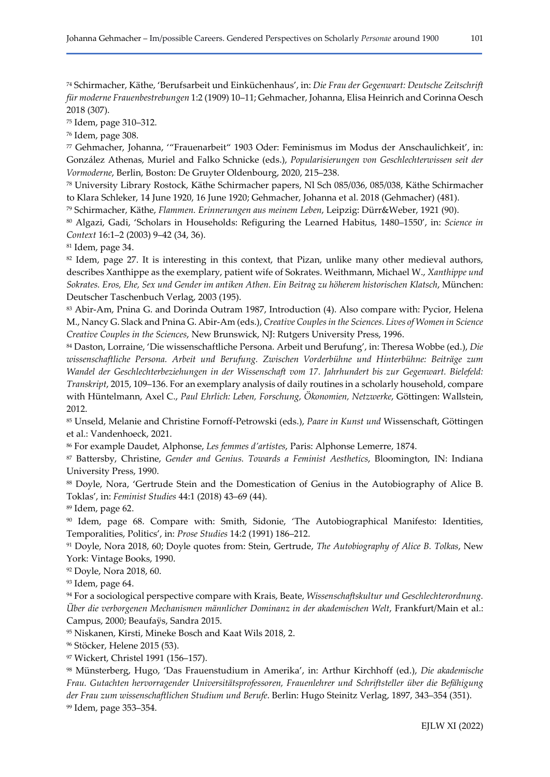74 Schirmacher, Käthe, 'Berufsarbeit und Einküchenhaus', in: Die Frau der Gegenwart: Deutsche Zeitschrift für moderne Frauenbestrebungen 1:2 (1909) 10–11; Gehmacher, Johanna, Elisa Heinrich and Corinna Oesch 2018 (307).

<sup>75</sup> Idem, page 310–312.

<sup>76</sup> Idem, page 308.

<sup>77</sup> Gehmacher, Johanna, '"Frauenarbeit" 1903 Oder: Feminismus im Modus der Anschaulichkeit', in: González Athenas, Muriel and Falko Schnicke (eds.), Popularisierungen von Geschlechterwissen seit der Vormoderne, Berlin, Boston: De Gruyter Oldenbourg, 2020, 215–238.

<sup>78</sup> University Library Rostock, Käthe Schirmacher papers, Nl Sch 085/036, 085/038, Käthe Schirmacher to Klara Schleker, 14 June 1920, 16 June 1920; Gehmacher, Johanna et al. 2018 (Gehmacher) (481).

<sup>79</sup> Schirmacher, Käthe, Flammen. Erinnerungen aus meinem Leben, Leipzig: Dürr&Weber, 1921 (90).

80 Algazi, Gadi, 'Scholars in Households: Refiguring the Learned Habitus, 1480–1550', in: Science in Context 16:1–2 (2003) 9–42 (34, 36).

<sup>81</sup> Idem, page 34.

<sup>82</sup> Idem, page 27. It is interesting in this context, that Pizan, unlike many other medieval authors, describes Xanthippe as the exemplary, patient wife of Sokrates. Weithmann, Michael W., Xanthippe und Sokrates. Eros, Ehe, Sex und Gender im antiken Athen. Ein Beitrag zu höherem historischen Klatsch, München: Deutscher Taschenbuch Verlag, 2003 (195).

<sup>83</sup> Abir-Am, Pnina G. and Dorinda Outram 1987, Introduction (4). Also compare with: Pycior, Helena M., Nancy G. Slack and Pnina G. Abir-Am (eds.), Creative Couples in the Sciences. Lives of Women in Science Creative Couples in the Sciences, New Brunswick, NJ: Rutgers University Press, 1996.

84 Daston, Lorraine, 'Die wissenschaftliche Persona. Arbeit und Berufung', in: Theresa Wobbe (ed.), Die wissenschaftliche Persona. Arbeit und Berufung. Zwischen Vorderbühne und Hinterbühne: Beiträge zum Wandel der Geschlechterbeziehungen in der Wissenschaft vom 17. Jahrhundert bis zur Gegenwart. Bielefeld: Transkript, 2015, 109–136. For an exemplary analysis of daily routines in a scholarly household, compare with Hüntelmann, Axel C., Paul Ehrlich: Leben, Forschung, Ökonomien, Netzwerke, Göttingen: Wallstein, 2012.

<sup>85</sup> Unseld, Melanie and Christine Fornoff-Petrowski (eds.), Paare in Kunst und Wissenschaft, Göttingen et al.: Vandenhoeck, 2021.

86 For example Daudet, Alphonse, Les femmes d'artistes, Paris: Alphonse Lemerre, 1874.

87 Battersby, Christine, Gender and Genius. Towards a Feminist Aesthetics, Bloomington, IN: Indiana University Press, 1990.

<sup>88</sup> Doyle, Nora, 'Gertrude Stein and the Domestication of Genius in the Autobiography of Alice B. Toklas', in: Feminist Studies 44:1 (2018) 43–69 (44).

<sup>89</sup> Idem, page 62.

<sup>90</sup> Idem, page 68. Compare with: Smith, Sidonie, 'The Autobiographical Manifesto: Identities, Temporalities, Politics', in: Prose Studies 14:2 (1991) 186–212.

91 Doyle, Nora 2018, 60; Doyle quotes from: Stein, Gertrude, The Autobiography of Alice B. Tolkas, New York: Vintage Books, 1990.

<sup>92</sup> Doyle, Nora 2018, 60.

93 Idem, page 64.

94 For a sociological perspective compare with Krais, Beate, Wissenschaftskultur und Geschlechterordnung. Über die verborgenen Mechanismen männlicher Dominanz in der akademischen Welt, Frankfurt/Main et al.: Campus, 2000; Beaufaÿs, Sandra 2015.

<sup>95</sup> Niskanen, Kirsti, Mineke Bosch and Kaat Wils 2018, 2.

<sup>96</sup> Stöcker, Helene 2015 (53).

<sup>97</sup> Wickert, Christel 1991 (156–157).

98 Münsterberg, Hugo, 'Das Frauenstudium in Amerika', in: Arthur Kirchhoff (ed.), Die akademische Frau. Gutachten hervorragender Universitätsprofessoren, Frauenlehrer und Schriftsteller über die Befähigung der Frau zum wissenschaftlichen Studium und Berufe. Berlin: Hugo Steinitz Verlag, 1897, 343–354 (351). 99 Idem, page 353–354.